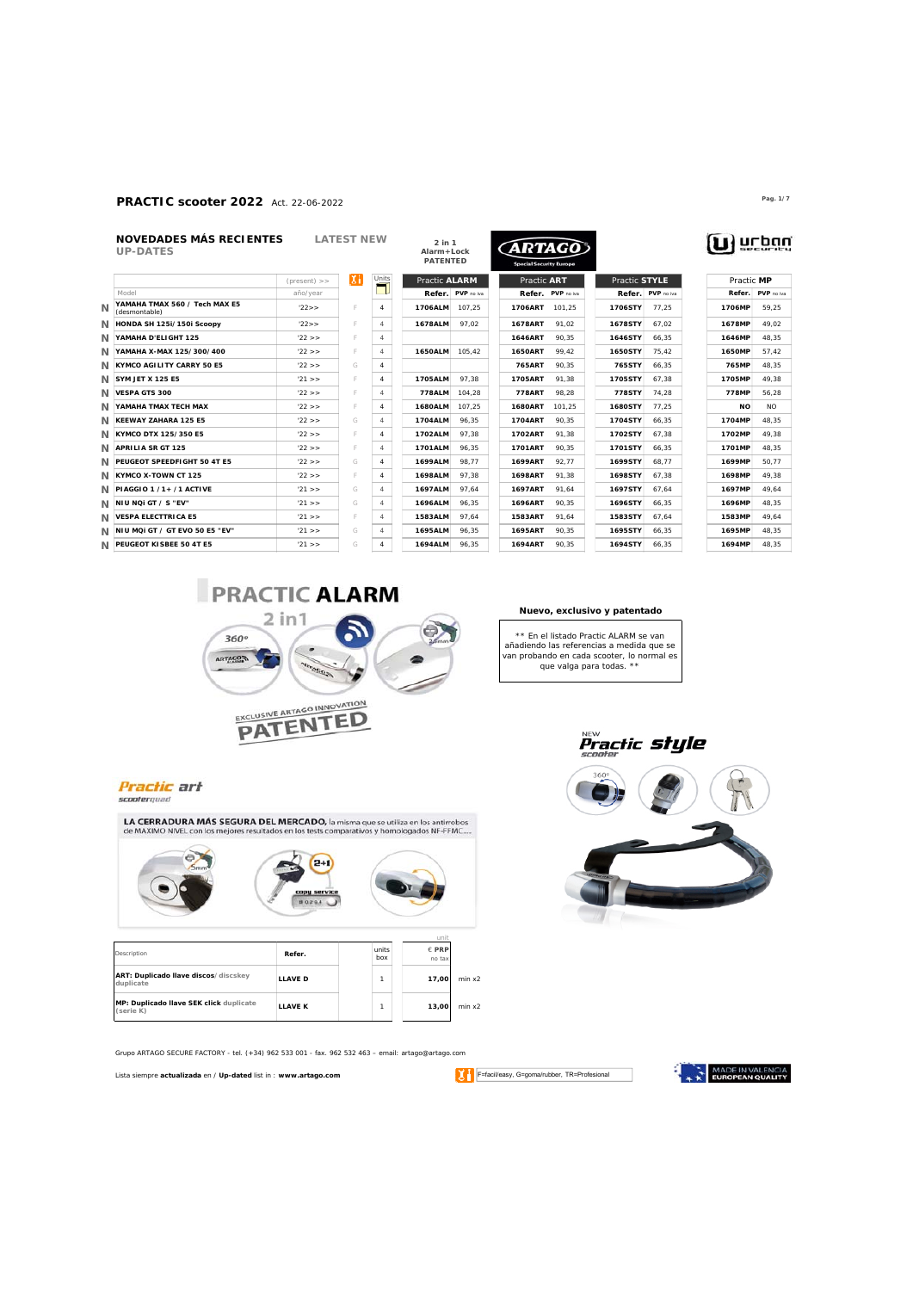### **PRACTIC scooter 2022** Act. 22-06-2022 **Pag. 1/7**

|                | NOVEDADES MÁS RECIENTES<br><b>UP-DATES</b>     | <b>LATEST NEW</b> |     | $2$ in $1$<br><b>ARTAGO</b><br>Alarm+Lock<br><b>PATENTED</b><br><b>Special Security Europe</b> |                |            |                |            |         |                   |               |            |                |
|----------------|------------------------------------------------|-------------------|-----|------------------------------------------------------------------------------------------------|----------------|------------|----------------|------------|---------|-------------------|---------------|------------|----------------|
|                |                                                | (present)         | ΙXΗ | Units<br>ਵ                                                                                     | Practic ALARM  |            | Practic ART    |            |         | Practic STYLE     |               | Practic MP |                |
|                | Model                                          | año/year          |     | - 1.                                                                                           | Refer.         | PVP no iva | Refer.         | PVP no iva |         | Refer. PVP no iva |               | Refer.     | PVP no iva     |
| $\overline{M}$ | YAMAHA TMAX 560 / Tech MAX E5<br>(desmontable) | 22 >              | F   | 4                                                                                              | 1706ALM        | 107.25     | 1706ART        | 101.25     | 1706STY | 77.25             | 1706MP        |            | 59.25          |
|                | N HONDA SH 125i/150i Scoopy                    | '22>              | F   | 4                                                                                              | 1678ALM        | 97.02      | 1678ART        | 91.02      | 1678STY | 67.02             | 1678MP        |            | 49.02          |
|                | N YAMAHA D'ELIGHT 125                          | '22 >             | F   | $\overline{4}$                                                                                 |                |            | 1646ART        | 90.35      | 1646STY | 66.35             | 1646MP        |            | 48.35          |
|                | N YAMAHA X-MAX 125/300/400                     | '22 >             | F   | $\overline{4}$                                                                                 | <b>1650ALM</b> | 105.42     | <b>1650ART</b> | 99.42      | 1650STY | 75.42             | <b>1650MP</b> |            | 57.42          |
|                | N KYMCO AGILITY CARRY 50 E5                    | '22 >             | G   | 4                                                                                              |                |            | 765ART         | 90.35      | 765STY  | 66.35             | 765MP         |            | 48.35          |
|                | N SYM JET X 125 E5                             | 21 >              | F   | $\overline{4}$                                                                                 | 1705ALM        | 97.38      | 1705ART        | 91.38      | 1705STY | 67.38             | 1705MP        |            | 49.38          |
|                | N VESPA GTS 300                                | 22 >              | F   | $\overline{4}$                                                                                 | 778ALM         | 104.28     | 778ART         | 98.28      | 778STY  | 74.28             | 778MP         |            | 56.28          |
|                | N YAMAHA TMAX TECH MAX                         | '22 >             | F   | 4                                                                                              | 1680ALM        | 107.25     | 1680ART        | 101.25     | 1680STY | 77.25             |               | <b>NO</b>  | N <sub>O</sub> |
|                | N KEEWAY ZAHARA 125 E5                         | '22 >             | G   | 4                                                                                              | 1704ALM        | 96.35      | 1704ART        | 90.35      | 1704STY | 66.35             | 1704MP        |            | 48.35          |
|                | N KYMCO DTX 125/350 E5                         | '22 >             | F   | $\overline{4}$                                                                                 | 1702ALM        | 97.38      | 1702ART        | 91.38      | 1702STY | 67.38             | 1702MP        |            | 49.38          |
|                | N APRILIA SR GT 125                            | '22 >             | F   | 4                                                                                              | 1701ALM        | 96.35      | 1701ART        | 90.35      | 1701STY | 66.35             | 1701MP        |            | 48.35          |
|                | N PEUGEOT SPEEDFIGHT 50 4T E5                  | 22 >              | G   | $\overline{4}$                                                                                 | 1699ALM        | 98.77      | 1699ART        | 92.77      | 1699STY | 68.77             | 1699MP        |            | 50.77          |
|                | /V KYMCO X-TOWN CT 125                         | '22 >             | F   | $\overline{4}$                                                                                 | 1698ALM        | 97.38      | 1698ART        | 91.38      | 1698STY | 67.38             | <b>1698MP</b> |            | 49.38          |
|                | N PIAGGIO 1 /1+ /1 ACTIVE                      | '21 >             | G   | 4                                                                                              | 1697ALM        | 97.64      | 1697ART        | 91.64      | 1697STY | 67.64             | 1697MP        |            | 49.64          |
|                | /V NIU NQI GT / S "EV"                         | '21 >             | G   | 4                                                                                              | 1696ALM        | 96.35      | 1696ART        | 90.35      | 1696STY | 66.35             | 1696MP        |            | 48.35          |
|                | <b>N VESPA ELECTTRICA E5</b>                   | '21 >             | F   | $\overline{4}$                                                                                 | 1583ALM        | 97.64      | 1583ART        | 91.64      | 1583STY | 67.64             | 1583MP        |            | 49.64          |
|                | /V NIU MQI GT / GT EVO 50 E5 "EV"              | '21 >             | G   | $\overline{4}$                                                                                 | 1695ALM        | 96.35      | 1695ART        | 90.35      | 1695STY | 66.35             | 1695MP        |            | 48.35          |
|                | N PEUGEOT KISBEE 50 4T E5                      | '21 >             | G   | $\overline{4}$                                                                                 | 1694ALM        | 96.35      | 1694ART        | 90.35      | 1694STY | 66.35             | 1694MP        |            | 48.35          |



**Nuevo, exclusivo y patentado**

*\*\* En el listado Practic ALARM se van añadiendo las referencias a medida que se van probando en cada scooter, lo normal es que valga para todas. \*\**



**Practic art** scoolerquad

LA CERRADURA MÁS SEGURA DEL MERCADO, la misma que se utiliza en los antirrobos de MAXIMO NIVEL con los mejores resultados en los tests comparativos y homologados NF-FFMC.....



| Description                                          | Refer.         | units<br>hox | $F$ PRP<br>no tax |        |
|------------------------------------------------------|----------------|--------------|-------------------|--------|
| ART: Duplicado llave discos/discskey<br>duplicate    | <b>LLAVE D</b> |              | 17.00             | min x2 |
| MP: Duplicado llave SEK click duplicate<br>(serie K) | <b>LLAVE K</b> |              | 13.00             | min x2 |

Grupo ARTAGO SECURE FACTORY - tel. (+34) 962 533 001 - fax. 962 532 463 – email: artago@artago.com

Lista siempre **actualizada** en / **Up-dated** list in : **www.artago.com**

F=facil/easy, G=goma/rubber, TR=Profesional

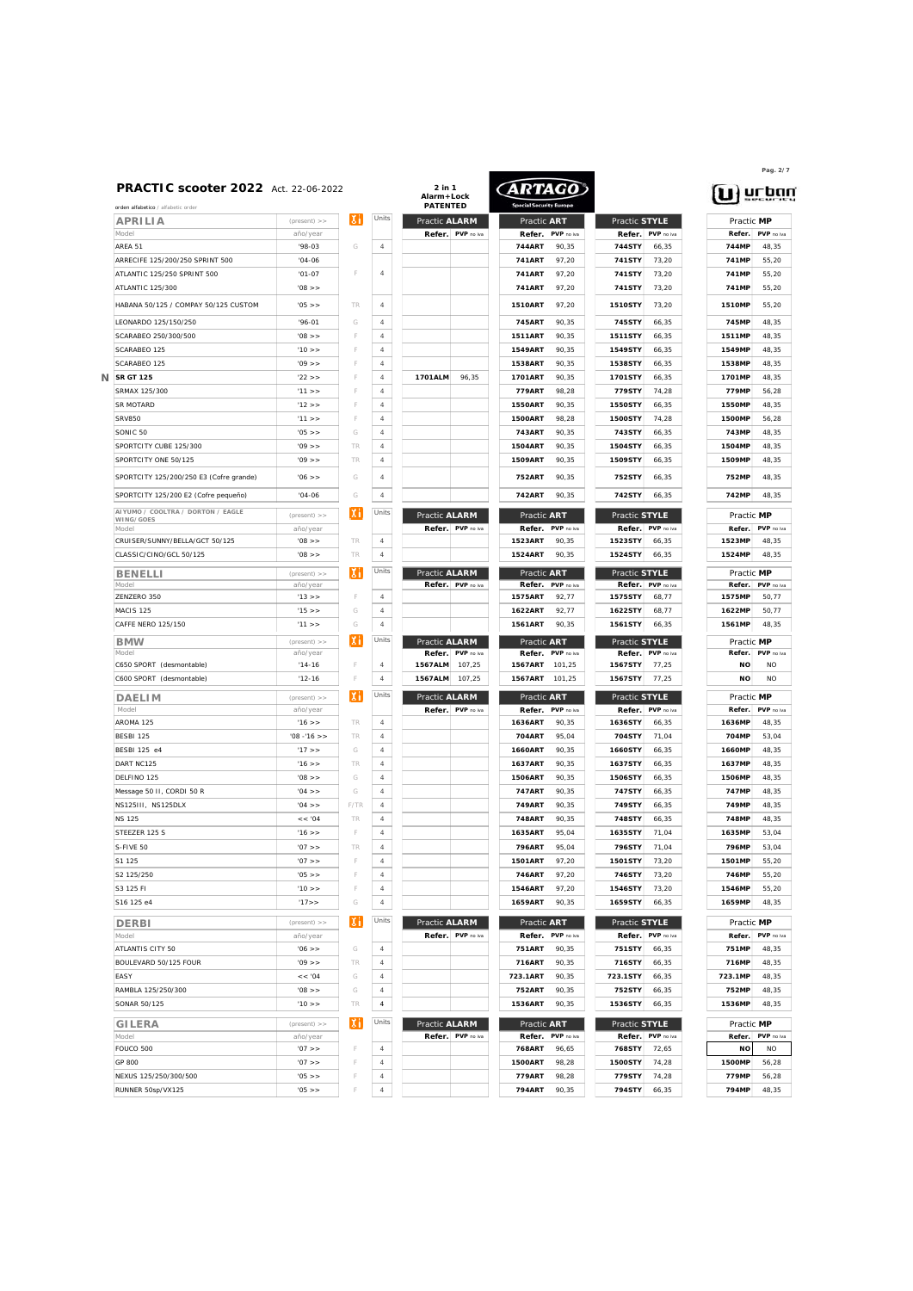| orden alfabetico / alfabetic order      |                |      |
|-----------------------------------------|----------------|------|
| APRILIA                                 | $(present)$ >> |      |
| Model                                   | año/year       |      |
| AREA 51                                 | $'98-03$       | G    |
| ARRECIFE 125/200/250 SPRINT 500         | $'04 - 06$     |      |
| ATLANTIC 125/250 SPRINT 500             | $'01-07$       | F    |
| ATLANTIC 125/300                        | $'08$ >>       |      |
| HABANA 50/125 / COMPAY 50/125 CUSTOM    | $'05$ >>       | TR   |
|                                         |                |      |
| LEONARDO 125/150/250                    | $96 - 01$      | G    |
| SCARABEO 250/300/500                    | $'08$ >>       | F    |
| SCARABEO 125                            | '10 >          | F    |
| SCARABEO 125                            | $'09$ >>       | F    |
| <b>SR GT 125</b>                        | $'22$ >>       | F    |
| SRMAX 125/300                           | 11 > 5         | F    |
| <b>SR MOTARD</b>                        | 12 >           | F    |
| <b>SRV850</b>                           | 11 > 5         | F    |
| SONIC 50                                | $'05$ >>       | G    |
| SPORTCITY CUBE 125/300                  | $'09$ >>       | TR   |
| SPORTCITY ONE 50/125                    | '09 >          | TR   |
|                                         |                |      |
| SPORTCITY 125/200/250 E3 (Cofre grande) | $'06$ >>       | G    |
| SPORTCITY 125/200 E2 (Cofre pequeño)    | $'04-06$       | G    |
| AIYUMO / COOLTRA / DORTON / EAGLE       |                | χi   |
| WING/GOES                               | $(present)$ >> |      |
| Model                                   | año/year       | TR   |
| CRUISER/SUNNY/BELLA/GCT 50/125          | $'08$ >>       | TR   |
| CLASSIC/CINO/GCL 50/125                 | $'08$ >>       |      |
| <b>BENELLI</b>                          | $(present)$ >> | Χi   |
| Model                                   | año/year       |      |
| ZENZERO 350                             | '13 >          | F    |
| MACIS 125                               | 15 >           | G    |
| CAFFE NERO 125/150                      | '11 >          | G    |
| <b>BMW</b>                              | (present) >>   | χi   |
| Model                                   | año/year       |      |
| C650 SPORT (desmontable)                | $'14-16$       | F    |
| C600 SPORT (desmontable)                | $'12 - 16$     | F    |
| DAELI M                                 | $(present)$ >> | χi   |
| Model                                   | año/year       |      |
| AROMA 125                               | 16 >           | TR   |
| BESBI 125                               | $'08 - 16$ >>  | TR   |
| <b>BESBI 125 e4</b>                     | '17 >          | G    |
| DART NC125                              | $'16$ >>       | TR   |
| DELFINO 125                             | $'08$ >>       | G    |
| Message 50 II, CORDI 50 R               | $'04$ >>       | G    |
| NS125III, NS125DLX                      | $'04$ >>       | F/TR |
| <b>NS 125</b>                           | << 0.04        | TR   |
| STEEZER 125 S                           | 16 >           | F    |
| S-FIVE 50                               |                | TR   |
| S1 125                                  | $'07$ >>       | F    |
|                                         | $'07$ >>       |      |
| S2 125/250                              | $'05$ >>       | F    |
| S3 125 FI                               | '10 >          | F    |
| S16 125 e4                              | 17 > 12        | G    |
| <b>DERBI</b>                            | $(present)$ >> | Хi   |
| Model                                   | año/year       |      |
| ATLANTIS CITY 50                        | 06 >           | G    |
| BOULEVARD 50/125 FOUR                   | $'09$ >>       | TR   |
| EASY                                    | << 0.04        | G    |
| RAMBLA 125/250/300                      | < 80'          | G    |
| SONAR 50/125                            | '10 > >        | TR   |
|                                         |                |      |
| <b>GILERA</b>                           | $(present)$ >> | χi   |
| Model                                   | año/year       |      |
| FOUCO 500                               | $'07$ >>       | F    |
| GP 800                                  | $'07$ >>       | F    |
| NEXUS 125/250/300/500                   | $'05$ >>       | F    |
| RUNNER 50sp/VX125                       | $'05$ >>       | F    |

| <b>PRACTIC scooter 2022</b> Act. 22-06-2022<br>orden alfabetico / alfabetic order |                            |         |                     | 2 in 1<br>Alarm+Lock<br><b>PATENTED</b> | ARTAGO                              |                                       | urba                               |
|-----------------------------------------------------------------------------------|----------------------------|---------|---------------------|-----------------------------------------|-------------------------------------|---------------------------------------|------------------------------------|
| APRILIA                                                                           | $(present)$ >>             | IХI     | Units               | Practic ALARM                           | Practic ART                         | Practic STYLE                         | Practic MP                         |
| Model                                                                             | año/year                   |         |                     | Refer.<br>PVP no iva                    | Refer.<br>PVP no iva                | Refer.<br>PVP no iva                  | PVP no iva<br>Refer.               |
| AREA 51                                                                           | $'98-03$                   | G       | $\overline{4}$      |                                         | <b>744ART</b><br>90.35              | 744STY<br>66,35                       | 744MP<br>48,35                     |
| ARRECIFE 125/200/250 SPRINT 500                                                   | $'04-06$                   |         |                     |                                         | 741ART<br>97.20                     | 741STY<br>73,20                       | 741MP<br>55,20                     |
| ATLANTIC 125/250 SPRINT 500                                                       | $'01-07$                   | F       | $\overline{4}$      |                                         | 97.20<br><b>741ART</b>              | 741STY<br>73,20                       | 741MP<br>55.20                     |
| <b>ATLANTIC 125/300</b>                                                           | $'08$ >>                   |         |                     |                                         | 97.20<br>741ART                     | 741STY<br>73,20                       | 741MP<br>55,20                     |
| HABANA 50/125 / COMPAY 50/125 CUSTOM                                              | $'05$ >>                   | TR      | $\overline{4}$      |                                         | 1510ART<br>97,20                    | 1510STY<br>73,20                      | 1510MP<br>55,20                    |
| LEONARDO 125/150/250                                                              | $'96-01$                   | G       | $\overline{4}$      |                                         | 745ART<br>90.35                     | 745STY<br>66,35                       | 745MP<br>48,35                     |
| SCARABEO 250/300/500                                                              | $'08$ >>                   | F       | $\overline{4}$      |                                         | <b>1511ART</b><br>90,35             | <b>1511STY</b><br>66,35               | 1511MP<br>48,35                    |
| SCARABEO 125                                                                      | '10 >                      | F       | $\overline{4}$      |                                         | <b>1549ART</b><br>90.35             | 1549STY<br>66,35                      | 1549MP<br>48,35                    |
| SCARABEO 125                                                                      | 109 > 5                    | F       | $\overline{4}$      |                                         | 1538ART<br>90.35                    | 1538STY<br>66,35                      | 1538MP<br>48.35                    |
| <b>SR GT 125</b><br>Ν                                                             | 122 >                      | F       | $\overline{4}$      | 1701ALM<br>96,35                        | 90,35<br>1701ART                    | 1701STY<br>66,35                      | 1701MP<br>48,35                    |
| SRMAX 125/300                                                                     | 11 > 5                     | F       | $\overline{4}$      |                                         | 779ART<br>98.28                     | 779STY<br>74,28                       | 779MP<br>56.28                     |
| <b>SR MOTARD</b>                                                                  | '12 >                      | F       | $\overline{4}$      |                                         | <b>1550ART</b><br>90.35             | 1550STY<br>66,35                      | <b>1550MP</b><br>48.35             |
| <b>SRV850</b>                                                                     | '11 >                      | F       | $\overline{4}$      |                                         | <b>1500ART</b><br>98.28             | <b>1500STY</b><br>74.28               | <b>1500MP</b><br>56.28             |
| SONIC <sub>50</sub>                                                               | $'05$ >>                   | G       | $\overline{4}$      |                                         | 743ART<br>90.35                     | 743STY<br>66,35                       | 743MP<br>48,35                     |
| SPORTCITY CUBE 125/300                                                            | 109 > 5                    | TR      | $\overline{4}$      |                                         | 1504ART<br>90.35                    | 1504STY                               | 1504MP<br>48.35                    |
|                                                                                   | '09 >                      |         |                     |                                         |                                     | 66,35                                 |                                    |
| SPORTCITY ONE 50/125<br>SPORTCITY 125/200/250 E3 (Cofre grande)                   | $'06$ >>                   | TR<br>G | $\overline{4}$<br>4 |                                         | 1509ART<br>90.35<br>752ART<br>90,35 | 1509STY<br>66,35<br>752STY<br>66,35   | 1509MP<br>48,35<br>752MP<br>48,35  |
| SPORTCITY 125/200 E2 (Cofre pequeño)                                              | $'04-06$                   | G       | 4                   |                                         | 742ART<br>90,35                     | 742STY<br>66,35                       | 742MP<br>48,35                     |
| AIYUMO / COOLTRA / DORTON / EAGLE                                                 | $(present)$ >>             | ΙXΙ     | Units               | Practic ALARM                           | Practic ART                         | Practic STYLE                         | Practic MP                         |
| WING/GOES<br>Model                                                                | año/year                   |         |                     | Refer. PVP no iva                       | PVP no iva<br>Refer.                | Refer.<br>PVP no iva                  | Refer.<br>PVP no iva               |
| CRUISER/SUNNY/BELLA/GCT 50/125                                                    | $'08$ >>                   | TR      | $\overline{4}$      |                                         | 1523ART<br>90,35                    | 1523STY<br>66,35                      | 1523MP<br>48,35                    |
| CLASSIC/CINO/GCL 50/125                                                           | '08 >                      | TR      | $\it 4$             |                                         | <b>1524ART</b><br>90,35             | 1524STY<br>66,35                      | 1524MP<br>48,35                    |
|                                                                                   |                            |         |                     |                                         |                                     |                                       |                                    |
| <b>BENELLI</b><br>Model                                                           | $(present)$ >><br>año/year | ıхı     | Units               | Practic ALARM<br>Refer. PVP no iva      | Practic ART<br>Refer.<br>PVP no iva | Practic STYLE<br>Refer.<br>PVP no iva | Practic MP<br>PVP no iva<br>Refer. |
| ZENZERO 350                                                                       | '13 >                      | F       | 4                   |                                         | 1575ART<br>92,77                    | 1575STY<br>68,77                      | 1575MP<br>50,77                    |
| MACIS <sub>125</sub>                                                              | '15 >                      | G       | 4                   |                                         | 1622ART<br>92,77                    | 1622STY<br>68,77                      | 1622MP<br>50,77                    |
| CAFFE NERO 125/150                                                                | 11 >                       | G       | 4                   |                                         | 1561ART<br>90,35                    | 1561STY<br>66,35                      | 1561MP<br>48,35                    |
|                                                                                   |                            | ΙXΙ     | Units               | Practic ALARM                           | Practic ART                         | Practic STYLE                         | Practic MP                         |
| <b>BMW</b><br>Model                                                               | $(present)$ >><br>año/year |         |                     | Refer.<br>PVP no iva                    | Refer.<br>PVP no iva                | Refer.<br>PVP no iva                  | PVP no iva<br>Refer.               |
| C650 SPORT (desmontable)                                                          | $'14-16$                   |         | $\overline{4}$      | 107.25<br>1567ALM                       | 1567ART<br>101,25                   | 1567STY<br>77,25                      | <b>NO</b><br><b>NO</b>             |
| C600 SPORT (desmontable)                                                          | $'12-16$                   | F       | $\it 4$             | 1567ALM<br>107,25                       | 1567ART<br>101,25                   | 1567STY<br>77,25                      | <b>NO</b><br><b>NO</b>             |
| <b>DAELIM</b>                                                                     | (present)                  | IХI     | Units               | Practic ALARM                           | Practic ART                         | Practic STYLE                         | Practic MP                         |
| Model                                                                             | año/year                   |         |                     | Refer.<br>PVP no iva                    | Refer.<br>PVP no iva                | Refer.<br>PVP no iva                  | PVP no iva<br>Refer.               |
| AROMA 125                                                                         | $'16$ >>                   | TR      | 4                   |                                         | 1636ART<br>90,35                    | 1636STY<br>66,35                      | 1636MP<br>48,35                    |
| BESBI 125                                                                         | $'08 - 16$ >>              | TR      | 4                   |                                         | 704ART<br>95,04                     | 704STY<br>71,04                       | 704MP<br>53,04                     |
| BESBI 125 e4                                                                      | '17 >                      | G       | 4                   |                                         | 1660ART<br>90,35                    | 1660STY<br>66,35                      | 1660MP<br>48,35                    |
| DART NC125                                                                        | $'16$ >>                   | TR      | 4                   |                                         | 1637ART<br>90,35                    | 1637STY<br>66,35                      | 1637MP<br>48,35                    |
| DELFINO 125                                                                       | $'08$ >>                   | G       | 4                   |                                         | 1506ART<br>90,35                    | 1506STY<br>66,35                      | 1506MP<br>48,35                    |
| Message 50 II, CORDI 50 R                                                         | $'04$ >>                   | G       | 4                   |                                         | 747ART<br>90,35                     | 747STY<br>66,35                       | 747MP<br>48,35                     |
| NS125III, NS125DLX                                                                | $'04$ >>                   | F/TR    | 4                   |                                         | 749ART<br>90,35                     | 749STY<br>66,35                       | 749MP<br>48,35                     |
| <b>NS 125</b>                                                                     | << 0.04                    | TR      | 4                   |                                         | 748ART<br>90,35                     | 748STY<br>66,35                       | 748MP<br>48,35                     |
| STEEZER 125 S                                                                     | '16 >                      | F       | 4                   |                                         | 1635ART<br>95,04                    | 1635STY<br>71,04                      | 1635MP<br>53,04                    |
| S-FIVE 50                                                                         | $'07$ >>                   | TR      | 4                   |                                         | 796ART<br>95,04                     | 796STY<br>71,04                       | 796MP<br>53,04                     |
| S1 125                                                                            | $'07$ >>                   |         | 4                   |                                         | 1501ART<br>97,20                    | 1501STY<br>73,20                      | 1501MP<br>55,20                    |
| S2 125/250                                                                        | $'05$ >>                   | F       | 4                   |                                         | 746ART<br>97,20                     | 746STY<br>73,20                       | 746MP<br>55,20                     |
| S3 125 FI                                                                         | '10 > >                    | F       | 4                   |                                         | 1546ART<br>97,20                    | 1546STY<br>73,20                      | 1546MP<br>55,20                    |
| S16 125 e4                                                                        | '17>                       | G       | 4                   |                                         | 1659ART<br>90,35                    | 1659STY<br>66,35                      | 1659MP<br>48,35                    |
| <b>DERBI</b>                                                                      | $(present)$ >>             | IХН     | Units               | Practic ALARM                           | Practic ART                         | Practic STYLE                         | Practic MP                         |
| Model                                                                             | año/year                   |         |                     | Refer. PVP no iva                       | PVP no iva<br>Refer.                | Refer.<br>PVP no iva                  | Refer.<br>PVP no iva               |
| ATLANTIS CITY 50                                                                  | $'06$ >>                   | G       | $\it 4$             |                                         | <b>751ART</b><br>90,35              | 751STY<br>66,35                       | 751MP<br>48,35                     |
| BOULEVARD 50/125 FOUR                                                             | '09 >                      | TR      | $\it 4$             |                                         | 716ART<br>90,35                     | 716STY<br>66,35                       | 716MP<br>48,35                     |
| EASY                                                                              | << 0.04                    | G       | $\it 4$             |                                         | 723.1ART<br>90,35                   | 723.1STY<br>66,35                     | 723.1MP<br>48,35                   |
| RAMBLA 125/250/300                                                                | $'08$ >>                   | G       | $\overline{4}$      |                                         | <b>752ART</b><br>90,35              | 752STY<br>66,35                       | 752MP<br>48,35                     |
| SONAR 50/125                                                                      | '10 >                      | TR      | $\it 4$             |                                         | 1536ART<br>90,35                    | 1536STY<br>66,35                      | 1536MP<br>48,35                    |
| <b>GILERA</b>                                                                     | $(present)$ >>             | IХI     | Units               | Practic ALARM                           | Practic ART                         | Practic STYLE                         | Practic MP                         |
| Model                                                                             | año/year                   |         |                     | Refer. PVP no iva                       | Refer.<br>PVP no iva                | Refer.<br>PVP no iva                  | Refer.<br>PVP no iva               |
| FOUCO 500                                                                         | $'07$ >>                   | F       | $\it 4$             |                                         | 768ART<br>96,65                     | 768STY<br>72,65                       | <b>NO</b><br><b>NO</b>             |
| GP 800                                                                            | '07 >                      | F       | $\overline{4}$      |                                         | 1500ART<br>98.28                    | 1500STY<br>74,28                      | 1500MP<br>56,28                    |
| NEXUS 125/250/300/500                                                             | $'05$ > >                  | F       | $\it 4$             |                                         | 779ART<br>98.28                     | 779STY<br>74,28                       | 779MP<br>56,28                     |
| RUNNER 50sp/VX125                                                                 | $'05$ >>                   | F       | $\ensuremath{4}$    |                                         | 794ART<br>90,35                     | 794STY<br>66,35                       | 794MP<br>48,35                     |

# Practic MP<br>Refer. PVP no iva<br>1523MP 48,35

**Pag. 2/7**

 $\mathbf{u}$  at pay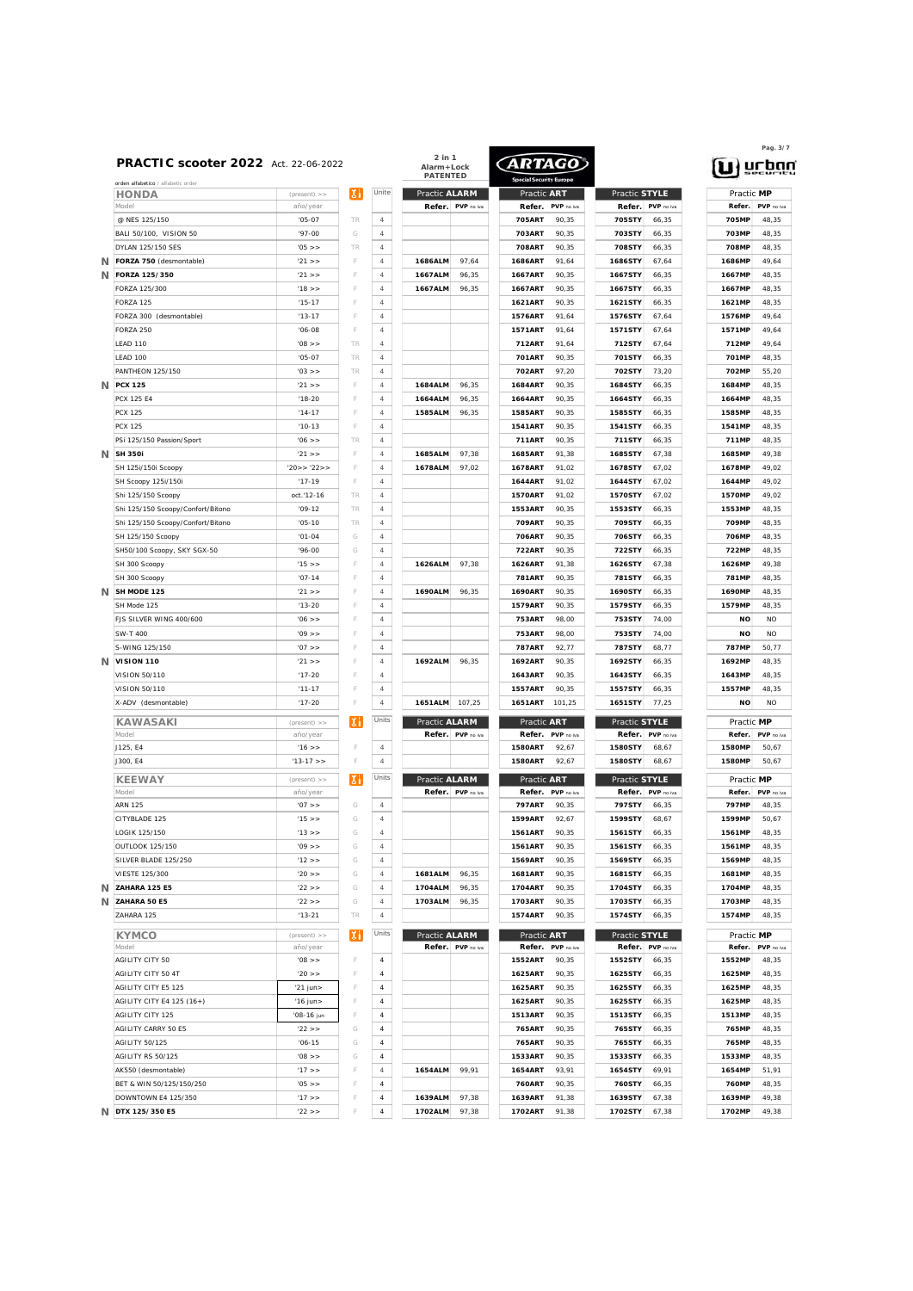| HONDA                             | $(present)$ >> |
|-----------------------------------|----------------|
| Model                             | año/year       |
| @ NFS 125/150                     | $'05-07$       |
| BALI 50/100, VISION 50            | $'97 - 00$     |
| DYLAN 125/150 SES                 | $'05$ >>       |
| FORZA 750 (desmontable)<br>Ν      | 21 >           |
|                                   |                |
| FORZA 125/350<br>N                | $'21$ >>       |
| FORZA 125/300                     | 18 >           |
| FORZA 125                         | $15 - 17$      |
| FORZA 300 (desmontable)           | $13 - 17$      |
| FORZA 250                         | $'06 - 08$     |
| <b>IFAD 110</b>                   | $'08$ >>       |
| LEAD 100                          | $'05-07$       |
|                                   |                |
| <b>PANTHEON 125/150</b>           | $'03$ >>       |
| <b>PCX 125</b><br>N               | $'21$ >>       |
| <b>PCX 125 E4</b>                 | $'18-20$       |
| <b>PCX 125</b>                    | $14 - 17$      |
| <b>PCX 125</b>                    | $'10-13$       |
| PSi 125/150 Passion/Sport         | $'06$ >>       |
|                                   |                |
| <b>SH 350i</b>                    | $'21$ >>       |
| SH 125i/150i Scoopy               | '20>> '22>>    |
| SH Scoopy 125i/150i               | $17 - 19$      |
| Shi 125/150 Scoopy                | oct.'12-16     |
| Shi 125/150 Scoopy/Confort/Bitono | $'09-12$       |
| Shi 125/150 Scoopy/Confort/Bitono | $'05-10$       |
|                                   |                |
| SH 125/150 Scoopy                 | $'01-04$       |
| SH50/100 Scoopy, SKY SGX-50       | $'96-00$       |
| SH 300 Scoopy                     | '15 >          |
| SH 300 Scoopy                     | $'07 - 14$     |
| SH MODE 125                       | $'21$ >>       |
| SH Mode 125                       | $'13-20$       |
|                                   |                |
| FJS SILVER WING 400/600           | $'06$ >>       |
| SW-T 400                          | $'09$ >>       |
| S-WING 125/150                    | $'07$ >>       |
| <b>VISION 110</b>                 | $'21$ >>       |
| VISION 50/110                     | $'17-20$       |
| VISION 50/110                     | $'11 - 17$     |
| X-ADV (desmontable)               | $'17-20$       |
|                                   |                |
| <b>KAWASAKI</b>                   | $(present)$ >> |
|                                   |                |
| Model                             | año/year       |
| J125, E4                          | 16 >           |
|                                   |                |
| J300, E4                          | $'13-17$ >>    |
| <b>KEEWAY</b>                     | $(present)$ >> |
| Model                             | año/year       |
| <b>ARN 125</b>                    | 07 >           |
| CITYBLADE 125                     | 15 >           |
|                                   |                |
| LOGIK 125/150                     | 13 >           |
| <b>OUTLOOK 125/150</b>            | $'09$ >>       |
| SILVER BLADE 125/250              | 12 >           |
| VIESTE 125/300                    | $'20$ >>       |
| ZAHARA 125 E5                     | '22 >          |
| ZAHARA 50 E5                      | 22 >           |
| ZAHARA 125                        |                |
|                                   | $'13-21$       |
| <b>KYMCO</b>                      | $(present)$ >> |
| Model                             | año/year       |
| AGILITY CITY 50                   | < 80'          |
|                                   |                |
| AGILITY CITY 50 4T                | $'20$ >>       |
| <b>AGILITY CITY E5 125</b>        | '21 jun>       |
| AGILITY CITY E4 125 (16+)         | '16 jun>       |
| <b>AGILITY CITY 125</b>           | '08-16 jun     |
| AGILITY CARRY 50 E5               | $'22$ >>       |
| AGILITY 50/125                    | $'06 - 15$     |
|                                   |                |
| AGILITY RS 50/125                 | < 80'          |
| AK550 (desmontable)               | $'17$ >>       |
| BET & WIN 50/125/150/250          | $'05$ >>       |
| DOWNTOWN E4 125/350               | $'17$ >>       |

|   | <b>PRACTIC scooter 2022</b> Act. 22-06-2022        |                      |        |                | 2 in 1<br>Alarm+Lock<br><b>PATENTED</b> |                   | ARTAGO           |                     |                         |                     | $\mathbf{u}$ ) urba   |                     |  |
|---|----------------------------------------------------|----------------------|--------|----------------|-----------------------------------------|-------------------|------------------|---------------------|-------------------------|---------------------|-----------------------|---------------------|--|
|   | orden alfabetico / alfabetic order<br><b>HONDA</b> | $(present)$ >>       | ΙXΙ    | Unite          | Practic ALARM                           |                   | Practic ART      |                     | Practic STYLE           |                     |                       | Practic MP          |  |
|   | Model                                              | año/year             |        |                | Refer.                                  | PVP no iva        | Refer.           | PVP no iva          | Refer.                  | PVP no iva          | Refer                 | PVP no ive          |  |
|   | @ NES 125/150                                      | $'05-07$             | TR     | $\it 4$        |                                         |                   | 705ART           | 90.35               | 705STY                  | 66.35               | 705MP                 | 48,35               |  |
|   | BALL 50/100 VISION 50                              | $'97-00$             | G      | $\overline{4}$ |                                         |                   | 703ART           | 90.35               | 703STY                  | 66.35               | 703MP                 | 48,35               |  |
|   | DYLAN 125/150 SES                                  | $'05$ >>             | TR     | $\overline{4}$ |                                         |                   | <b>708ART</b>    | 90.35               | 708STY                  | 66.35               | 708MP                 | 48.35               |  |
|   | N FORZA 750 (desmontable)                          | '21 >                | F      | $\overline{4}$ | 1686ALM                                 | 97.64             | 1686ART          | 91.64               | 1686STY                 | 67.64               | 1686MP                | 49,64               |  |
|   | N FORZA 125/350                                    | '21 >                | Æ      | $\overline{4}$ | 1667ALM                                 | 96,35             | 1667ART          | 90.35               | 1667STY                 | 66.35               | 1667MP                | 48,35               |  |
|   | FORZA 125/300                                      | '18 >                |        | $\overline{4}$ | 1667ALM                                 | 96.35             | 1667ART          | 90.35               | 1667STY                 | 66.35               | 1667MP                | 48.35               |  |
|   | <b>FORZA 125</b>                                   | $'15-17$             | F      | $\overline{4}$ |                                         |                   | 1621ART          | 90.35               | 1621STY                 | 66.35               | 1621MP                | 48.35               |  |
|   | FORZA 300 (desmontable)                            | $'13-17$             | F      | $\overline{4}$ |                                         |                   | <b>1576ART</b>   | 91.64               | 1576STY                 | 67.64               | 1576MP                | 49,64               |  |
|   | FORZA 250                                          | $'06-08$             | F      | $\overline{4}$ |                                         |                   | <b>1571ART</b>   | 91.64               | <b>1571STY</b>          | 67,64               | 1571MP                | 49,64               |  |
|   | <b>IFAD 110</b>                                    | '08 >                | TR     | $\overline{4}$ |                                         |                   | 712ART           | 91.64               | 712STY                  | 67.64               | 712MP                 | 49,64               |  |
|   | <b>IFAD 100</b>                                    | $'05-07$             | TR     | $\overline{4}$ |                                         |                   | 701ART           | 90.35               | 701STY                  | 66,35               | 701MP                 | 48.35               |  |
|   | <b>PANTHEON 125/150</b>                            | '03 >                | TR     | $\overline{4}$ |                                         |                   | 702ART           | 97.20               | 702STY                  | 73.20               | 702MP                 | 55.20               |  |
|   | N PCX 125                                          | '21 >                | F      | $\overline{4}$ | 1684ALM                                 | 96.35             | 1684ART          | 90.35               | 1684STY                 | 66.35               | 1684MP                | 48.35               |  |
|   | PCX 125 E4                                         | $'18-20$             |        | $\overline{4}$ | 1664ALM                                 | 96.35             | 1664ART          | 90.35               | 1664STY                 | 66.35               | 1664MP                | 48.35               |  |
|   | <b>PCX 125</b>                                     | $14 - 17$            | Æ      | $\overline{4}$ | 1585ALM                                 | 96,35             | 1585ART          | 90.35               | 1585STY                 | 66.35               | 1585MP                | 48.35               |  |
|   | <b>PCX 125</b>                                     | $'10-13$             | F      | $\overline{4}$ |                                         |                   | <b>1541ART</b>   | 90.35               | 1541STY                 | 66.35               | 1541MP                | 48.35               |  |
|   | PSi 125/150 Passion/Sport                          | $'06$ >>             | TR     | $\overline{4}$ |                                         |                   | 711ART           | 90.35               | 711STY                  | 66,35               | 711MP                 | 48.35               |  |
|   | /V SH 350i                                         | '21 >                |        | $\overline{4}$ | 1685ALM                                 | 97,38             | <b>1685ART</b>   | 91.38               | 1685STY                 | 67.38               | 1685MP                | 49.38               |  |
|   | SH 125i/150i Scoopy                                | '20>>'22>>           | F      | $\overline{4}$ | 1678ALM                                 | 97.02             | 1678ART          | 91.02               | 1678STY                 | 67.02               | 1678MP                | 49.02               |  |
|   | SH Scoopy 125i/150i                                | $17 - 19$            | F      | $\overline{4}$ |                                         |                   | 1644ART          | 91.02               | 1644STY                 | 67.02               | 1644MP                | 49.02               |  |
|   | Shi 125/150 Scoopy                                 | oct.'12-16           | TR     | $\overline{4}$ |                                         |                   | <b>1570ART</b>   | 91.02               | <b>1570STY</b>          | 67,02               | <b>1570MP</b>         | 49,02               |  |
|   | Shi 125/150 Scoopy/Confort/Bitono                  | $'09-12$             | TR     | 4              |                                         |                   | 1553ART          | 90,35               | 1553STY                 | 66,35               | 1553MP                | 48,35               |  |
|   | Shi 125/150 Scoopy/Confort/Bitono                  | $'05-10$             | TR     | 4              |                                         |                   | 709ART           | 90,35               | 709STY                  | 66,35               | 709MP                 | 48,35               |  |
|   | SH 125/150 Scoopy                                  | $'01-04$             | G      | $\overline{4}$ |                                         |                   | 706ART           | 90,35               | 706STY                  | 66,35               | 706MP                 | 48,35               |  |
|   | SH50/100 Scoopy, SKY SGX-50                        | $'96-00$             | G      | 4              |                                         |                   | 722ART           | 90,35               | 722STY                  | 66,35               | 722MP                 | 48,35               |  |
|   | SH 300 Scoopy                                      | '15 >                |        | $\overline{4}$ | 1626ALM                                 | 97,38             | 1626ART          | 91,38               | 1626STY                 | 67,38               | 1626MP                | 49,38               |  |
|   | SH 300 Scoopy                                      | $'07 - 14$           | F      | 4              |                                         |                   | 781ART           | 90,35               | 781STY                  | 66,35               | 781MP                 | 48,35               |  |
|   | N SH MODE 125                                      | $'21$ >>             |        | $\overline{4}$ | 1690ALM                                 | 96,35             | 1690ART          | 90,35               | 1690STY                 | 66,35               | 1690MP                | 48,35               |  |
|   | SH Mode 125                                        | $13 - 20$            |        | $\overline{4}$ |                                         |                   | 1579ART          | 90,35               | 1579STY                 | 66,35               | 1579MP                | 48,35               |  |
|   | FJS SILVER WING 400/600                            | $'06$ >>             |        | $\overline{4}$ |                                         |                   | 753ART           | 98,00               | 753STY                  | 74,00               | <b>NO</b>             | <b>NO</b>           |  |
|   | SW-T 400                                           | $'09$ >>             |        | $\overline{4}$ |                                         |                   | 753ART           | 98,00               | 753STY                  | 74,00               | NO                    | <b>NO</b>           |  |
|   | S-WING 125/150                                     | $'07$ >>             |        | $\overline{4}$ |                                         |                   | 787ART           | 92,77               | 787STY                  | 68,77               | 787MP                 | 50,77               |  |
|   | $N$ VISION 110                                     | $'21$ >>             |        | 4              | 1692ALM                                 | 96,35             | 1692ART          | 90,35               | 1692STY                 | 66,35               | 1692MP                | 48,35               |  |
|   | VISION 50/110                                      | $'17-20$             |        | $\overline{4}$ |                                         |                   | 1643ART          | 90,35               | 1643STY                 | 66,35               | 1643MP                | 48,35               |  |
|   | VISION 50/110                                      | $'11 - 17$           |        | 4              |                                         |                   | 1557ART          | 90,35               | 1557STY                 | 66,35               | 1557MP                | 48,35               |  |
|   | X-ADV (desmontable)                                | $'17-20$             |        | $\it 4$        | 1651ALM                                 | 107.25            | 1651ART          | 101,25              | 1651STY                 | 77,25               | NO                    | N <sub>O</sub>      |  |
|   |                                                    | $(present)$ >>       | Хì     | Units          | Practic ALARM                           |                   | Practic ART      |                     | Practic STYLE           |                     | Practic MP            |                     |  |
|   | <b>KAWASAKI</b><br>Model                           | año/year             |        |                |                                         | Refer. PVP no iva | Refer.           | PVP no iva          | Refer.                  | PVP no iva          | Refer.                | PVP no iva          |  |
|   | J125. E4                                           | '16 >                |        | 4              |                                         |                   | <b>1580ART</b>   | 92.67               | 1580STY                 | 68.67               | <b>1580MF</b>         | 50.67               |  |
|   | J300, E4                                           | $13 - 17 >$          |        | $\it 4$        |                                         |                   | 1580ART          | 92,67               | 1580STY                 | 68,67               | 1580MP                | 50.67               |  |
|   |                                                    |                      |        |                |                                         |                   |                  |                     |                         |                     |                       |                     |  |
|   | <b>KEEWAY</b>                                      | $(present)$ >>       | ΙXΙ    | Units          | Practic ALARM                           |                   | Practic ART      |                     | Practic STYLE           |                     |                       | Practic MP          |  |
|   | Model<br><b>ARN 125</b>                            | año/year<br>$'07$ >> | G      | $\overline{4}$ |                                         | Refer. PVP no iva | Refer.<br>797ART | PVP no iva<br>90.35 | Refer.<br><b>797STY</b> | PVP no iva<br>66.35 | Refer<br><b>797MF</b> | PVP no iva<br>48.35 |  |
|   |                                                    |                      |        |                |                                         |                   |                  |                     |                         |                     |                       |                     |  |
|   | CITYBLADE 125                                      | 15 >                 | G<br>G | $\overline{4}$ |                                         |                   | 1599ART          | 92,67               | 1599STY                 | 68.67               | 1599MP                | 50.67               |  |
|   | LOGIK 125/150<br>OUTLOOK 125/150                   | 13 > >               |        | $\it 4$        |                                         |                   | 1561ART          | 90,35               | 1561STY                 | 66.35               | 1561MP                | 48,35               |  |
|   | SILVER BLADE 125/250                               | '09 >                | G      | $\overline{4}$ |                                         |                   | 1561ART          | 90.35               | 1561STY                 | 66,35               | 1561MP                | 48,35               |  |
|   |                                                    | 12 >                 | G      | $\overline{4}$ | 1681ALM                                 |                   | 1569ART          | 90.35               | 1569STY                 | 66.35               | 1569MP                | 48,35               |  |
|   | VIESTE 125/300                                     | $'20$ >>             | G      | $\overline{4}$ |                                         | 96.35             | 1681ART          | 90,35               | 1681STY                 | 66.35               | 1681MP                | 48,35               |  |
|   | N ZAHARA 125 E5                                    | '22 > >              | G      | $\overline{4}$ | 1704ALM                                 | 96.35             | 1704ART          | 90.35               | 1704STY                 | 66.35               | 1704MP                | 48,35               |  |
| Ν | ZAHARA 50 E5                                       | '22 > >              | G      | $\it 4$        | 1703ALM                                 | 96.35             | 1703ART          | 90,35               | 1703STY                 | 66.35               | 1703MP<br>1574MP      | 48,35               |  |
|   | ZAHARA 125                                         | $13 - 21$            | TR     | $\overline{4}$ |                                         |                   | <b>1574ART</b>   | 90.35               | 1574STY                 | 66.35               |                       | 48,35               |  |
|   | <b>KYMCO</b>                                       | $(present)$ >>       | ΙXΙ    | Units          | Practic ALARM                           |                   | Practic ART      |                     | Practic STYLE           |                     |                       | Practic MP          |  |
|   | Model                                              | año/year             |        |                | Refer.                                  | PVP no iva        | Refer.           | PVP no iva          | Refer.                  | PVP no iva          | Refer.                | PVP no ive          |  |
|   | AGILITY CITY 50                                    | '08 >                | F      | 4              |                                         |                   | 1552ART          | 90,35               | 1552STY                 | 66,35               | 1552MP                | 48,35               |  |
|   | <b>AGILITY CITY 50 4T</b>                          | '20 >                | F      | 4              |                                         |                   | 1625ART          | 90,35               | 1625STY                 | 66,35               | 1625MP                | 48,35               |  |
|   | <b>AGILITY CITY E5 125</b>                         | '21 jun>             |        | $\it 4$        |                                         |                   | 1625ART          | 90.35               | 1625STY                 | 66,35               | 1625MP                | 48,35               |  |
|   | AGILITY CITY E4 125 (16+)                          | '16 jun>             | F      | $\it 4$        |                                         |                   | 1625ART          | 90,35               | 1625STY                 | 66,35               | 1625MP                | 48,35               |  |
|   | AGILITY CITY 125                                   | '08-16 iun           | F      | $\it 4$        |                                         |                   | 1513ART          | 90.35               | 1513STY                 | 66,35               | 1513MP                | 48,35               |  |
|   | <b>AGILITY CARRY 50 E5</b>                         | '22 >                | G      | $\it 4$        |                                         |                   | 765ART           | 90,35               | 765STY                  | 66,35               | 765MP                 | 48,35               |  |
|   | <b>AGILITY 50/125</b>                              | $'06 - 15$           | G      | $\overline{4}$ |                                         |                   | 765ART           | 90,35               | 765STY                  | 66,35               | 765MP                 | 48,35               |  |
|   | AGILITY RS 50/125                                  | $'08$ > >            | G      | $\it 4$        |                                         |                   | 1533ART          | 90,35               | 1533STY                 | 66,35               | 1533MP                | 48,35               |  |
|   | AK550 (desmontable)                                | 17 >                 | F      | 4              | 1654ALM                                 | 99.91             | 1654ART          | 93.91               | 1654STY                 | 69,91               | 1654MP                | 51,91               |  |
|   | BET & WIN 50/125/150/250                           | $'05$ >>             | F      | 4              |                                         |                   | 760ART           | 90,35               | 760STY                  | 66,35               | 760MP                 | 48,35               |  |
|   | DOWNTOWN E4 125/350                                | 17 >                 | F      | $\sqrt{4}$     | 1639ALM                                 | 97,38             | 1639ART          | 91.38               | 1639STY                 | 67,38               | 1639MP                | 49,38               |  |
|   | /V DTX 125/350 E5                                  | '22 >                | F      | $\it 4$        | 1702ALM                                 | 97,38             | 1702ART          | 91,38               | 1702STY                 | 67,38               | 1702MP                | 49,38               |  |
|   |                                                    |                      |        |                |                                         |                   |                  |                     |                         |                     |                       |                     |  |

 $\sqrt{2\pi r^2}$ 



| Practic MP           |                |
|----------------------|----------------|
| Refer.               | PVP no iva     |
| 705MP                | 48,35          |
| 703MP                | 48,35          |
| 708MP                | 48,35          |
| 1686MP               | 49,64          |
| 1667MP               | 48,35          |
|                      |                |
| 1667MP               | 48,35          |
| 1621MP               | 48,35          |
| 1576MP               | 49,64          |
| 1571MP               | 49,64          |
| 712MP                | 49,64          |
| 701MP                | 48,35          |
| 702MP                | 55,20          |
| 1684MP               | 48,35          |
| 1664MP               | 48,35          |
| 1585MP               | 48,35          |
|                      |                |
| 1541MP               | 48,35          |
| 711MP                | 48,35          |
| 1685MP               | 49,38          |
| 1678MP               | 49,02          |
| 1644MP               | 49,02          |
| 1570MP               | 49,02          |
| 1553MP               | 48,35          |
| 709MP                | 48,35          |
| 706MP                | 48,35          |
|                      |                |
| 722MP                | 48,35          |
| 1626MP               | 49,38          |
| 781MP                | 48,35          |
| 1690MP               | 48,35          |
| 1579MP               | 48,35          |
| NO                   | <b>NO</b>      |
| <b>NO</b>            | <b>NO</b>      |
|                      |                |
|                      |                |
| 787MP                | 50,77          |
| 1692MP               | 48,35          |
| 1643MP               | 48,35          |
| 1557MP               | 48,35          |
| NO                   | <b>NO</b>      |
| Practic MP           |                |
| Refer.               | PVP no iva     |
| 1580MP               | 50,67          |
| 1580MP               | 50,67          |
|                      |                |
| Practic MP<br>Refer. |                |
|                      | PVP no iva     |
| 797MP                | 48,35          |
| 1599MP               | 50,67          |
| 1561MP               | 48,35          |
| 1561MP               | 48,35          |
| 1569MP               | 48,35          |
| 1.<br>681MP          | 48,<br>35      |
| 1704MP               | 48,35          |
| 1703MP               | 48,35          |
| 1574MP               | 48,35          |
|                      |                |
| Practic MP           |                |
| Refer.               | PVP no iva     |
| 1552MP               | 48,35          |
| 1625MP               | 48,35          |
| 1625MP               | 48,35          |
| 1625MP               | 48,35          |
| 1513MP               | 48,35          |
| 765MP                | 48,35          |
| 765MP                | 48,35          |
|                      |                |
| 1533MP               | 48,35          |
| 1654MP               | 51,91          |
| 760MP<br>1639MP      | 48,35<br>49,38 |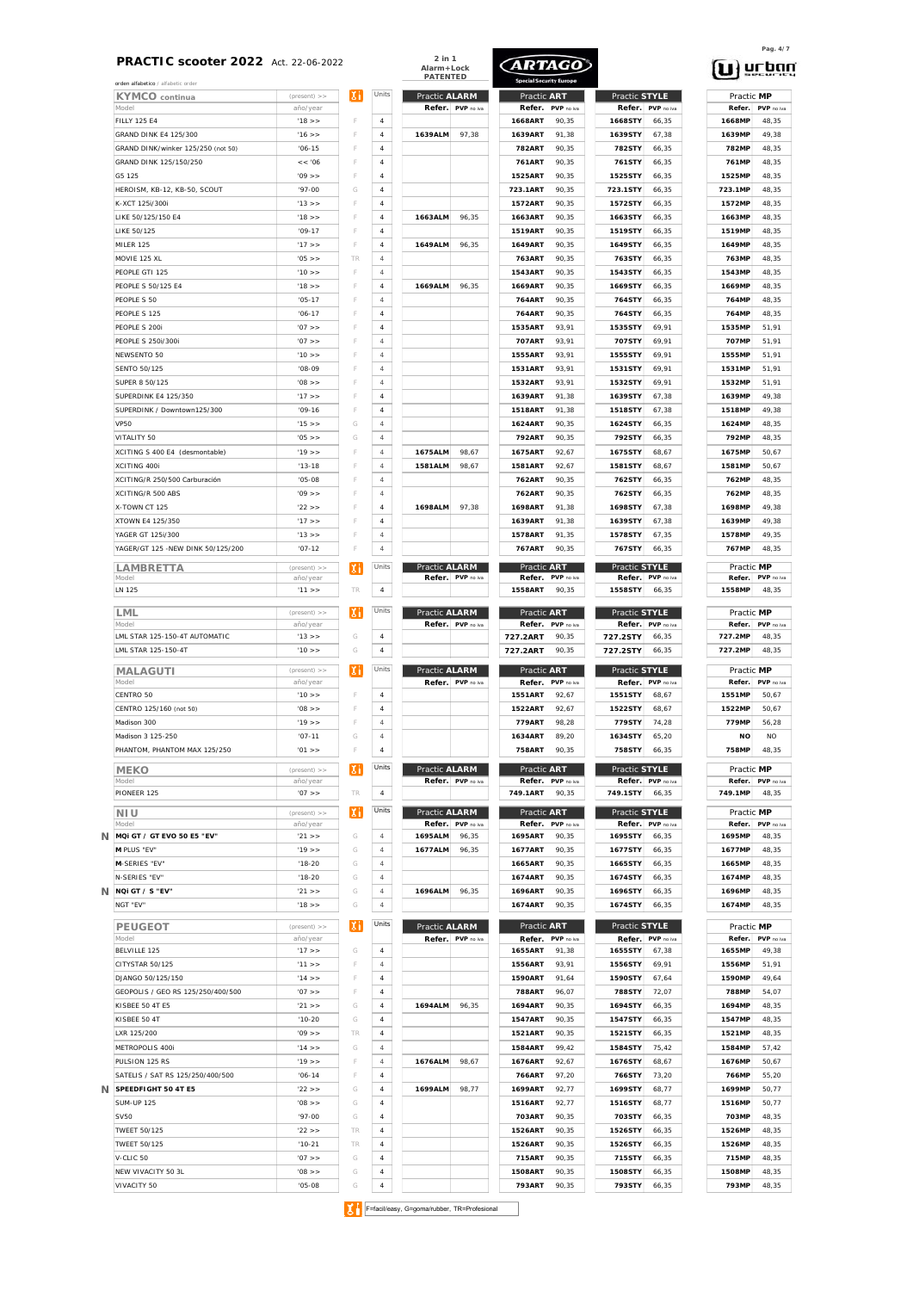**2 in 1 Alarm+Lock**

**ARTAGO** 

| KYMCO continua                                                                                                                                                                                                                                                                                                                                                                                                | $(present)$ >>                                     |
|---------------------------------------------------------------------------------------------------------------------------------------------------------------------------------------------------------------------------------------------------------------------------------------------------------------------------------------------------------------------------------------------------------------|----------------------------------------------------|
| Model                                                                                                                                                                                                                                                                                                                                                                                                         | año/year                                           |
| <b>FILLY 125 E4</b>                                                                                                                                                                                                                                                                                                                                                                                           | '18 >                                              |
| GRAND DINK E4 125/300                                                                                                                                                                                                                                                                                                                                                                                         | 16 >                                               |
| GRAND DINK/winker 125/250 (not 50)                                                                                                                                                                                                                                                                                                                                                                            | $'06 - 15$                                         |
| GRAND DINK 125/150/250                                                                                                                                                                                                                                                                                                                                                                                        | << 0.06                                            |
| G5 125                                                                                                                                                                                                                                                                                                                                                                                                        | '09 >                                              |
| HEROISM, KB-12, KB-50, SCOUT                                                                                                                                                                                                                                                                                                                                                                                  | $'97-00$                                           |
| K-XCT 125i/300i                                                                                                                                                                                                                                                                                                                                                                                               | 13 > 5                                             |
| LIKE 50/125/150 E4                                                                                                                                                                                                                                                                                                                                                                                            | '18 >                                              |
| LIKE 50/125                                                                                                                                                                                                                                                                                                                                                                                                   | $'09 - 17$                                         |
| MILER 125                                                                                                                                                                                                                                                                                                                                                                                                     | '17 >                                              |
| MOVIE 125 XL                                                                                                                                                                                                                                                                                                                                                                                                  | $'05$ >>                                           |
| PEOPLE GTI 125                                                                                                                                                                                                                                                                                                                                                                                                | '10 >                                              |
| PEOPLE S 50/125 E4                                                                                                                                                                                                                                                                                                                                                                                            | 18 >                                               |
| PEOPLE S 50                                                                                                                                                                                                                                                                                                                                                                                                   | $'05-17$                                           |
| PEOPLE S 125                                                                                                                                                                                                                                                                                                                                                                                                  | $'06-17$                                           |
| PEOPLE S 200i                                                                                                                                                                                                                                                                                                                                                                                                 | $'07$ >>                                           |
| PEOPLE S 250i/300i                                                                                                                                                                                                                                                                                                                                                                                            | $'07$ >>                                           |
| NEWSENTO 50                                                                                                                                                                                                                                                                                                                                                                                                   | '10 >                                              |
| <b>SENTO 50/125</b>                                                                                                                                                                                                                                                                                                                                                                                           | $'08-09$                                           |
| SUPER 8 50/125                                                                                                                                                                                                                                                                                                                                                                                                | $'08$ >>                                           |
| <b>SUPERDINK F4 125/350</b>                                                                                                                                                                                                                                                                                                                                                                                   | 17 >                                               |
| SUPERDINK / Downtown125/300                                                                                                                                                                                                                                                                                                                                                                                   | $109 - 16$                                         |
| <b>VP50</b>                                                                                                                                                                                                                                                                                                                                                                                                   | 15 >                                               |
| VITALITY 50                                                                                                                                                                                                                                                                                                                                                                                                   | $'05$ >>                                           |
| XCITING S 400 E4 (desmontable)                                                                                                                                                                                                                                                                                                                                                                                | '19 >                                              |
| XCITING 400i                                                                                                                                                                                                                                                                                                                                                                                                  | $13 - 18$                                          |
| XCITING/R 250/500 Carburación                                                                                                                                                                                                                                                                                                                                                                                 | $'05-08$                                           |
| XCITING/R 500 ABS                                                                                                                                                                                                                                                                                                                                                                                             | '09 >                                              |
| X-TOWN CT 125                                                                                                                                                                                                                                                                                                                                                                                                 | $'22$ >>                                           |
| XTOWN E4 125/350                                                                                                                                                                                                                                                                                                                                                                                              | '17 >                                              |
| YAGER GT 125i/300                                                                                                                                                                                                                                                                                                                                                                                             | 13 >                                               |
| YAGER/GT 125 -NEW DINK 50/125/200                                                                                                                                                                                                                                                                                                                                                                             | $'07 - 12$                                         |
|                                                                                                                                                                                                                                                                                                                                                                                                               |                                                    |
| LAMBRETTA                                                                                                                                                                                                                                                                                                                                                                                                     | $(present)$ >>                                     |
| Model                                                                                                                                                                                                                                                                                                                                                                                                         | año/year                                           |
| LN 125                                                                                                                                                                                                                                                                                                                                                                                                        | 11 > 5                                             |
| LML                                                                                                                                                                                                                                                                                                                                                                                                           | $(present)$ >>                                     |
| Model                                                                                                                                                                                                                                                                                                                                                                                                         | año/year                                           |
| LML STAR 125-150-4T AUTOMATIC                                                                                                                                                                                                                                                                                                                                                                                 | 13 >                                               |
| LML STAR 125-150-4T                                                                                                                                                                                                                                                                                                                                                                                           | '10 >                                              |
|                                                                                                                                                                                                                                                                                                                                                                                                               |                                                    |
| MALAGUTI<br>Model                                                                                                                                                                                                                                                                                                                                                                                             | $(present)$ >>                                     |
| CENTRO 50                                                                                                                                                                                                                                                                                                                                                                                                     | año/year<br>'10 >                                  |
| CENTRO 125/160 (not 50)                                                                                                                                                                                                                                                                                                                                                                                       | $'08$ >>                                           |
| Madison 300                                                                                                                                                                                                                                                                                                                                                                                                   | '19 >                                              |
|                                                                                                                                                                                                                                                                                                                                                                                                               |                                                    |
| Madison 3 125-250                                                                                                                                                                                                                                                                                                                                                                                             | $'07 - 11$                                         |
| PHANTOM, PHANTOM MAX 125/250                                                                                                                                                                                                                                                                                                                                                                                  | $'01$ >>                                           |
| MEKO                                                                                                                                                                                                                                                                                                                                                                                                          | $(present)$ >>                                     |
| Model                                                                                                                                                                                                                                                                                                                                                                                                         | año/year                                           |
|                                                                                                                                                                                                                                                                                                                                                                                                               | $'07$ >>                                           |
|                                                                                                                                                                                                                                                                                                                                                                                                               |                                                    |
|                                                                                                                                                                                                                                                                                                                                                                                                               |                                                    |
|                                                                                                                                                                                                                                                                                                                                                                                                               |                                                    |
|                                                                                                                                                                                                                                                                                                                                                                                                               | $'21$ >>                                           |
|                                                                                                                                                                                                                                                                                                                                                                                                               | '19 >                                              |
|                                                                                                                                                                                                                                                                                                                                                                                                               | $18 - 20$                                          |
|                                                                                                                                                                                                                                                                                                                                                                                                               |                                                    |
|                                                                                                                                                                                                                                                                                                                                                                                                               | $'18-20$                                           |
|                                                                                                                                                                                                                                                                                                                                                                                                               | $'21$ >>                                           |
|                                                                                                                                                                                                                                                                                                                                                                                                               | 18 >                                               |
|                                                                                                                                                                                                                                                                                                                                                                                                               |                                                    |
|                                                                                                                                                                                                                                                                                                                                                                                                               |                                                    |
|                                                                                                                                                                                                                                                                                                                                                                                                               | '17 >                                              |
|                                                                                                                                                                                                                                                                                                                                                                                                               | 11 >                                               |
|                                                                                                                                                                                                                                                                                                                                                                                                               | 14 >                                               |
|                                                                                                                                                                                                                                                                                                                                                                                                               | $'07$ >>                                           |
|                                                                                                                                                                                                                                                                                                                                                                                                               | $'21$ >>                                           |
|                                                                                                                                                                                                                                                                                                                                                                                                               | $'10-20$                                           |
|                                                                                                                                                                                                                                                                                                                                                                                                               |                                                    |
|                                                                                                                                                                                                                                                                                                                                                                                                               | año/year<br>'09 >                                  |
|                                                                                                                                                                                                                                                                                                                                                                                                               | $(present)$ >><br>año/year<br>(present) >><br>14 > |
|                                                                                                                                                                                                                                                                                                                                                                                                               | '19 >                                              |
|                                                                                                                                                                                                                                                                                                                                                                                                               | $'06 - 14$                                         |
| PIONEER 125<br>NI U<br>Model<br>MQI GT / GT EVO 50 E5 "EV"<br>M PLUS "EV"<br>M-SERIES "EV"<br>N-SERIES "EV"<br>NQi GT / S "EV"<br>NGT "EV"<br>PEUGEOT<br>Model<br>BELVILLE 125<br>CITYSTAR 50/125<br>DJANGO 50/125/150<br>GEOPOLIS / GEO RS 125/250/400/500<br>KISBEE 50 4T E5<br>KISBEE 50 4T<br>LXR 125/200<br>METROPOLIS 400i<br>PULSION 125 RS<br>SATELIS / SAT RS 125/250/400/500<br>SPEEDFIGHT 50 4T E5 | $'22$ >>                                           |
| <b>SUM-UP 125</b>                                                                                                                                                                                                                                                                                                                                                                                             | $'08$ >>                                           |
| SV50                                                                                                                                                                                                                                                                                                                                                                                                          | $'97-00$                                           |
|                                                                                                                                                                                                                                                                                                                                                                                                               | $'22$ >>                                           |
|                                                                                                                                                                                                                                                                                                                                                                                                               | $'10-21$                                           |
|                                                                                                                                                                                                                                                                                                                                                                                                               | 07 >                                               |
| <b>TWEET 50/125</b><br><b>TWEET 50/125</b><br>V-CLIC 50<br>NEW VIVACITY 50 3L                                                                                                                                                                                                                                                                                                                                 | $'08$ >>                                           |

| orden alfabetico / alfabetic order                        |                        |        |                                  | AldHI+LUCK<br>PATENTED |                   | <b>Special Security Europe</b> |                |                    |                   |                  | u second       |
|-----------------------------------------------------------|------------------------|--------|----------------------------------|------------------------|-------------------|--------------------------------|----------------|--------------------|-------------------|------------------|----------------|
| <b>KYMCO</b> continua                                     | $(present)$ >>         | Χi     | Units                            | Practic ALARM          |                   | Practic ART                    |                | Practic STYLE      |                   | Practic MP       |                |
| Model                                                     | año/vear               |        |                                  | Refer.                 | PVP no iva        | Refer.                         | PVP no iva     | Refer.             | PVP no iva        | Refer.           | PVP no iva     |
| <b>FILLY 125 E4</b>                                       | '18 >                  | F      | 4                                |                        |                   | 1668ART                        | 90.35          | 1668STY            | 66.35             | <b>1668MP</b>    | 48.35          |
| GRAND DINK E4 125/300                                     | '16 >                  |        | $\overline{4}$                   | 1639ALM                | 97,38             | 1639ART                        | 91,38          | 1639STY            | 67.38             | 1639MP           | 49.38          |
| GRAND DINK/winker 125/250 (not 50)                        | $'06 - 15$             | F      | $\overline{4}$                   |                        |                   | <b>782ART</b>                  | 90,35          | 782STY             | 66.35             | 782MP            | 48.35          |
| GRAND DINK 125/150/250                                    | << 0.06                |        | $\sqrt{4}$                       |                        |                   | <b>761ART</b>                  | 90,35          | 761STY             | 66,35             | 761MP            | 48.35          |
| G5 125                                                    | $'09$ >>               | F      | $\overline{4}$                   |                        |                   | 1525ART                        | 90,35          | 1525STY            | 66.35             | 1525MP           | 48.35          |
| HEROISM, KB-12, KB-50, SCOUT                              | $'97-00$               | G      | $\overline{4}$                   |                        |                   | 723.1ART                       | 90,35          | 723.1STY           | 66.35             | 723.1MP          | 48.35          |
| K-XCT 125i/300i                                           | 13 >                   | F      | $\overline{4}$                   |                        |                   | <b>1572ART</b>                 | 90.35          | 1572STY            | 66.35             | 1572MP           | 48,35          |
| LIKE 50/125/150 E4                                        | '18 >                  | F<br>F | $\overline{4}$                   | 1663ALM                | 96.35             | 1663ART                        | 90.35          | 1663STY            | 66.35             | 1663MP           | 48.35          |
| LIKE 50/125<br>MILER 125                                  | $'09-17$<br>17 >       | F      | $\overline{4}$<br>$\overline{4}$ | 1649ALM                | 96.35             | 1519ART<br><b>1649ART</b>      | 90,35<br>90.35 | 1519STY<br>1649STY | 66.35<br>66.35    | 1519MP<br>1649MP | 48,35<br>48.35 |
| MOVIE 125 XL                                              | $'05$ >>               | TR     | $\overline{4}$                   |                        |                   | 763ART                         | 90,35          | 763STY             | 66.35             | 763MP            | 48,35          |
| PEOPLE GTI 125                                            | '10 >                  | F      | $\overline{4}$                   |                        |                   | 1543ART                        | 90.35          | 1543STY            | 66.35             | 1543MP           | 48,35          |
| PEOPLE S 50/125 E4                                        | '18 > >                | F      | $\overline{4}$                   | 1669ALM                | 96.35             | 1669ART                        | 90,35          | 1669STY            | 66.35             | 1669MP           | 48,35          |
| PEOPLE S 50                                               | $'05-17$               | F      | $\overline{4}$                   |                        |                   | 764ART                         | 90.35          | 764STY             | 66.35             | 764MP            | 48.35          |
| PEOPLE S 125                                              | $'06-17$               | F      | $\overline{4}$                   |                        |                   | 764ART                         | 90,35          | 764STY             | 66.35             | 764MP            | 48,35          |
| PEOPLE S 200i                                             | $'07$ >>               | F      | $\overline{4}$                   |                        |                   | <b>1535ART</b>                 | 93.91          | 1535STY            | 69,91             | 1535MP           | 51,91          |
| PEOPLE S 250i/300i                                        | $'07$ >>               | F      | $\sqrt{4}$                       |                        |                   | 707ART                         | 93,91          | 707STY             | 69,91             | 707MP            | 51,91          |
| NEWSENTO 50                                               | '10 >                  | F      | $\overline{4}$                   |                        |                   | <b>1555ART</b>                 | 93.91          | 1555STY            | 69,91             | 1555MP           | 51.91          |
| <b>SENTO 50/125</b>                                       | $'08-09$               | F      | $\overline{4}$                   |                        |                   | 1531ART                        | 93.91          | 1531STY            | 69,91             | 1531MP           | 51,91          |
| SUPER 8 50/125                                            | $'08$ >>               | F      | $\overline{4}$                   |                        |                   | 1532ART                        | 93.91          | 1532STY            | 69,91             | 1532MP           | 51,91          |
| SUPERDINK E4 125/350                                      | 17 >                   | F      | $\overline{4}$                   |                        |                   | 1639ART                        | 91,38          | 1639STY            | 67,38             | 1639MP           | 49,38          |
| SUPERDINK / Downtown125/300                               | $'09-16$               | F      | $\overline{4}$                   |                        |                   | <b>1518ART</b>                 | 91.38          | 1518STY            | 67.38             | 1518MP           | 49.38          |
| <b>VP50</b>                                               | 15 >                   | G      | $\overline{4}$                   |                        |                   | 1624ART                        | 90.35          | 1624STY            | 66.35             | 1624MP           | 48,35          |
| VITALITY 50                                               | '05 >                  | G      | $\overline{4}$                   |                        |                   | <b>792ART</b>                  | 90.35          | 792STY             | 66.35             | 792MP            | 48,35          |
| XCITING S 400 E4 (desmontable)                            | '19 >                  | F      | $\overline{4}$                   | 1675ALM                | 98.67             | <b>1675ART</b>                 | 92.67          | 1675STY            | 68,67             | 1675MP           | 50,67          |
| XCITING 400i                                              | $'13-18$               | F      | $\overline{4}$                   | <b>1581ALM</b>         | 98.67             | <b>1581ART</b>                 | 92.67          | 1581STY            | 68.67             | 1581MP           | 50.67          |
| XCITING/R 250/500 Carburación                             | $'05-08$               | F      | $\sqrt{4}$                       |                        |                   | 762ART                         | 90.35          | 762STY             | 66.35             | 762MP            | 48,35          |
| XCITING/R 500 ABS                                         | '09 >                  | F      | $\overline{4}$                   |                        |                   | 762ART                         | 90.35          | 762STY             | 66.35             | 762MP            | 48,35          |
| X-TOWN CT 125                                             | '22 > >                | F      | $\sqrt{4}$                       | 1698ALM                | 97,38             | 1698ART                        | 91,38          | 1698STY            | 67,38             | 1698MP           | 49,38          |
| XTOWN E4 125/350                                          | 17 >                   | F      | $\overline{4}$                   |                        |                   | 1639ART                        | 91,38          | 1639STY            | 67.38             | 1639MP           | 49.38          |
| YAGER GT 125i/300                                         | 13 >                   | F      | $\sqrt{4}$                       |                        |                   | 1578ART                        | 91.35          | 1578STY            | 67.35             | 1578MP           | 49,35          |
| YAGER/GT 125 -NEW DINK 50/125/200                         | $'07 - 12$             | F      | $\overline{4}$                   |                        |                   | <b>767ART</b>                  | 90,35          | 767STY             | 66,35             | 767MP            | 48,35          |
| LAMBRETTA                                                 | $(present)$ >>         | Xi     | Units                            | Practic ALARM          |                   | Practic ART                    |                | Practic STYLE      |                   | Practic MP       |                |
| Model                                                     | año/year               |        |                                  |                        | Refer. PVP no iva | Refer.                         | PVP no iva     | Refer.             | PVP no iva        | Refer.           | PVP no iva     |
| LN 125                                                    | 11 >                   | TR     | $\overline{4}$                   |                        |                   | 1558ART                        | 90.35          | 1558STY            | 66,35             | 1558MP           | 48.35          |
| LML                                                       | $(present)$ >>         | Хi     | Units                            | Practic ALARM          |                   | Practic ART                    |                | Practic STYLE      |                   | Practic MP       |                |
| Model                                                     | año/year               |        |                                  |                        | Refer. PVP no iva | Refer.                         | PVP no iva     | Refer.             | PVP no iva        | Refer.           | PVP no iva     |
| LML STAR 125-150-4T AUTOMATIC                             | 13 >                   | G      | 4                                |                        |                   | 727.2ART                       | 90.35          | 727.2STY           | 66,35             | 727.2MP          | 48.35          |
| LML STAR 125-150-4T                                       | '10 >                  | G      | $\overline{4}$                   |                        |                   | 727.2ART                       | 90.35          | 727.2STY           | 66,35             | 727.2MP          | 48.35          |
| MALAGUTI                                                  | $(present)$ >>         | Xi     | Units                            | Practic ALARM          |                   | Practic ART                    |                | Practic STYLE      |                   | Practic MP       |                |
| Model                                                     | año/year               |        |                                  |                        | Refer. PVP no iva | Refer.                         | PVP no iva     | Refer.             | PVP no iva        | Refer.           | PVP no iva     |
| CENTRO 50                                                 | '10 >                  | F      | 4                                |                        |                   | <b>1551ART</b>                 | 92,67          | 1551STY            | 68,67             | 1551MP           | 50,67          |
| CENTRO 125/160 (not 50)                                   | $'08$ >>               | F      | 4                                |                        |                   | 1522ART                        | 92,67          | 1522STY            | 68,67             | 1522MP           | 50,67          |
| Madison 300                                               | '19 >                  | F      | $\overline{4}$                   |                        |                   | 779ART                         | 98,28          | 779STY             | 74,28             | 779MP            | 56,28          |
| Madison 3 125-250                                         | $'07 - 11$             | G      | 4                                |                        |                   | 1634ART                        | 89,20          | 1634STY            | 65,20             | <b>NO</b>        | <b>NO</b>      |
| PHANTOM, PHANTOM MAX 125/250                              | '01 >                  | F      | $\sqrt{4}$                       |                        |                   | 758ART                         | 90.35          | 758STY             | 66,35             | <b>758MP</b>     | 48.35          |
| <b>MEKO</b>                                               | $(present)$ >>         | Xi     | Units                            | Practic ALARM          |                   | Practic ART                    |                | Practic STYLE      |                   | Practic MP       |                |
| Model                                                     | año/year               |        |                                  |                        | Refer. PVP no iva | Refer.                         | PVP no iva     |                    | Refer. PVP no iva | Refer.           | PVP no iva     |
| PIONEER 125                                               | $'07$ >>               | TR     | $\overline{4}$                   |                        |                   | 749.1ART                       | 90,35          | 749.1STY           | 66,35             | 749.1MP          | 48.35          |
| NI U                                                      | $(present)$ >>         | Xi     | Units                            | Practic ALARM          |                   | Practic ART                    |                | Practic STYLE      |                   | Practic MP       |                |
| Model                                                     | año/year               |        |                                  | Refer.                 | PVP no iva        | Refer.                         | PVP no iva     | Refer.             | PVP no iva        | Refer.           | PVP no iva     |
| /V MQi GT / GT EVO 50 E5 "EV"                             | '21 >                  | G      | $\overline{4}$                   | 1695ALM                | 96,35             | 1695ART                        | 90,35          | 1695STY            | 66.35             | 1695MP           | 48.35          |
| M PLUS "EV"                                               | '19 >                  | G      | $\overline{4}$                   | 1677ALM                | 96,35             | 1677ART                        | 90,35          | 1677STY            | 66.35             | 1677MP           | 48.35          |
| M-SERIES "EV"                                             | $18-20$                | G      | $\overline{4}$                   |                        |                   | 1665ART                        | 90.35          | 1665STY            | 66.35             | 1665MP           | 48,35          |
| N-SERIES "EV"                                             | $'18-20$               | G      | $\overline{4}$                   |                        |                   | 1674ART                        | 90,35          | 1674STY            | 66.35             | 1674MP           | 48.35          |
| /V NQi GT / S "EV"                                        | '21 >                  | G      | $\overline{4}$                   | 1696ALM                | 96.35             | 1696ART                        | 90.35          | 1696STY            | 66.35             | 1696MP           | 48.35          |
| NGT "EV"                                                  | '18 > >                | G      | $\overline{4}$                   |                        |                   | 1674ART                        | 90,35          | 1674STY            | 66.35             | 1674MP           | 48,35          |
| PEUGEOT                                                   | $(present)$ >>         | Xi     | Units                            | Practic ALARM          |                   | Practic ART                    |                | Practic STYLE      |                   | Practic MP       |                |
| Model                                                     | año/year               |        |                                  |                        | Refer. PVP no iva | Refer.                         | PVP no iva     | Refer.             | PVP no iva        | Refer.           | PVP no iva     |
| BELVILLE 125                                              | '17 >                  | G      | $\overline{4}$                   |                        |                   | 1655ART                        | 91,38          | 1655STY            | 67.38             | 1655MP           | 49,38          |
| CITYSTAR 50/125                                           | 11 >                   | F      | $\overline{4}$                   |                        |                   | 1556ART                        | 93.91          | 1556STY            | 69,91             | 1556MP           | 51.91          |
| DJANGO 50/125/150                                         | '14 > >                | F      | $\overline{4}$                   |                        |                   | 1590ART                        | 91,64          | 1590STY            | 67.64             | 1590MP           | 49,64          |
| GEOPOLIS / GEO RS 125/250/400/500                         | $'07$ >>               | F      | $\overline{4}$                   |                        |                   | <b>788ART</b>                  | 96.07          | 788STY             | 72,07             | 788MP            | 54,07          |
| KISBEE 50 4T E5                                           | '21 >                  | G      | $\overline{4}$                   | 1694ALM                | 96,35             | 1694ART                        | 90,35          | 1694STY            | 66,35             | 1694MP           | 48.35          |
| KISBEE 50 4T                                              | $'10-20$               | G      | $\overline{4}$                   |                        |                   | 1547ART                        | 90.35          | 1547STY            | 66.35             | 1547MP           | 48.35          |
| LXR 125/200                                               | '09 >                  | TR     | $\overline{4}$                   |                        |                   | 1521ART                        | 90,35          | 1521STY            | 66.35             | 1521MP           | 48,35          |
| METROPOLIS 400i                                           | '14 > >                | G      | $\overline{4}$                   |                        |                   | 1584ART                        | 99.42          | 1584STY            | 75,42             | 1584MP           | 57,42          |
| PULSION 125 RS                                            | '19 >                  | F      | $\overline{4}$                   | 1676ALM                | 98,67             | <b>1676ART</b>                 | 92,67          | 1676STY            | 68.67             | 1676MP           | 50,67          |
| SATELIS / SAT RS 125/250/400/500<br>N SPEEDFIGHT 50 4T E5 | $'06 - 14$<br>$'22$ >> | F<br>G | $\overline{4}$<br>$\overline{4}$ | 1699ALM                | 98,77             | 766ART<br>1699ART              | 97.20<br>92,77 | 766STY<br>1699STY  | 73.20<br>68,77    | 766MP<br>1699MP  | 55.20<br>50,77 |
| <b>SUM-UP 125</b>                                         | $'08$ >>               | G      | $\overline{4}$                   |                        |                   | 1516ART                        | 92.77          | 1516STY            | 68.77             | 1516MP           | 50,77          |
| <b>SV50</b>                                               | $'97-00$               | G      | $\overline{4}$                   |                        |                   | 703ART                         | 90,35          | 703STY             | 66.35             | 703MP            | 48,35          |
| <b>TWEET 50/125</b>                                       | '22 >                  | TR     | $\overline{4}$                   |                        |                   | <b>1526ART</b>                 | 90.35          | 1526STY            | 66.35             | 1526MP           | 48.35          |
| <b>TWEET 50/125</b>                                       | $'10-21$               | TR     | $\overline{4}$                   |                        |                   | <b>1526ART</b>                 | 90,35          | 1526STY            | 66.35             | 1526MP           | 48,35          |
| V-CLIC 50                                                 | $'07$ >>               | G      | $\overline{4}$                   |                        |                   | 715ART                         | 90.35          | 715STY             | 66.35             | 715MP            | 48,35          |
| NEW VIVACITY 50 3L                                        | '08 >                  | G      | $\overline{4}$                   |                        |                   | 1508ART                        | 90,35          | 1508STY            | 66.35             | 1508MP           | 48.35          |
| VIVACITY 50                                               | $'05-08$               | G      | $\sqrt{4}$                       |                        |                   | 793ART                         | 90,35          | 793STY             | 66,35             | 793MP            | 48,35          |
|                                                           |                        |        |                                  |                        |                   |                                |                |                    |                   |                  |                |

## (n) nupad

**Pag. 4/7**

Practic MP<br>Refer. PVP no iva<br>1551MP 50,67 Practic **MP** Practic **MP** Practic **MP** Practic MP<br>Refer. PVP no iva<br>1558MP 48,35

F=facil/easy, G=goma/rubber, TR=Profesional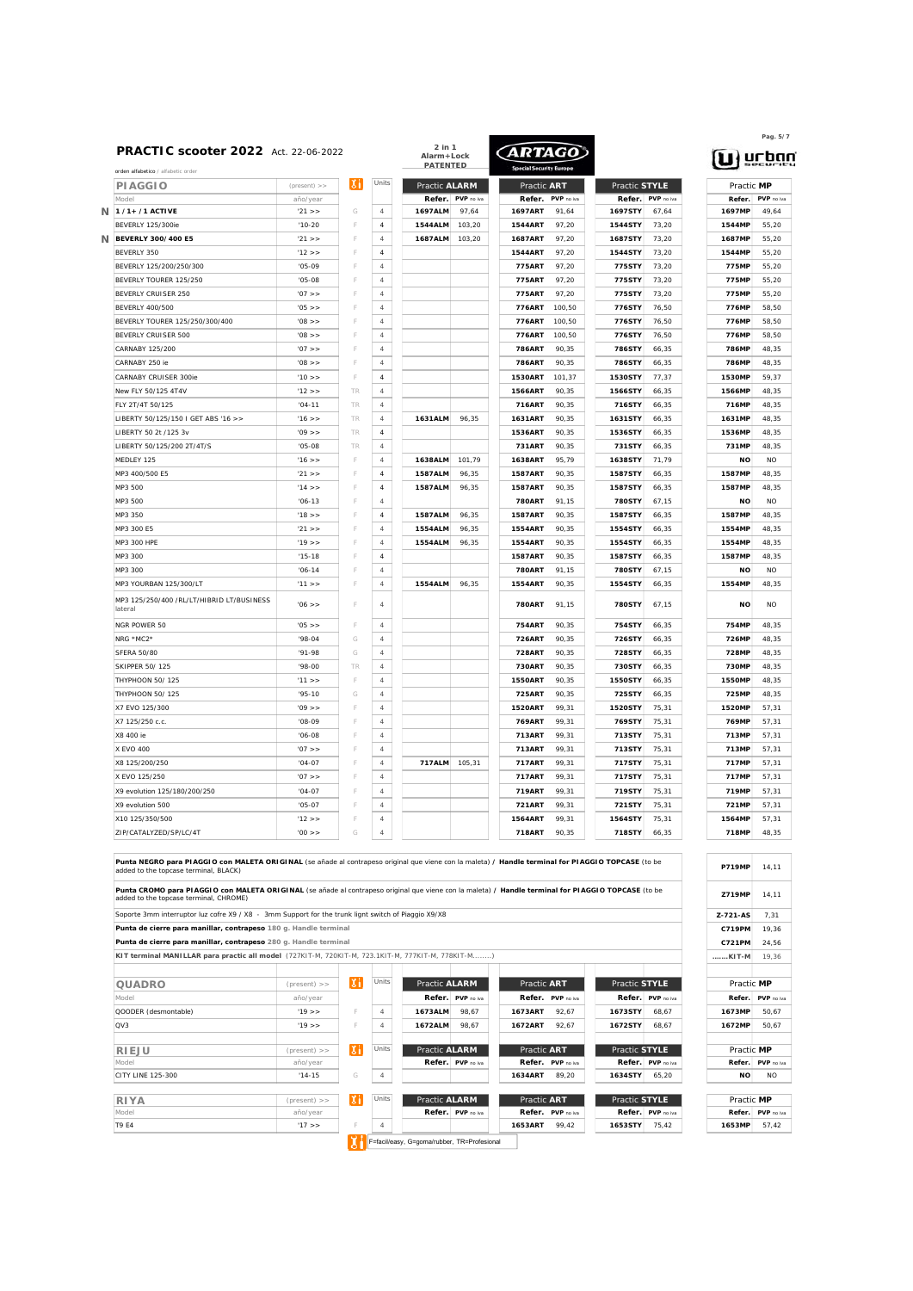| PRACTIC scooter 2022 Act. 22-06-2022<br>orden alfabetico / alfabetic order     |                |    | 2 in 1<br>Alarm+Lock<br><b>PATENTED</b> |                | ARTAGO     |                                 |                |                   | $\mathbf{u}$ ) urba |                     |                    |
|--------------------------------------------------------------------------------|----------------|----|-----------------------------------------|----------------|------------|---------------------------------|----------------|-------------------|---------------------|---------------------|--------------------|
| <b>PIAGGIO</b>                                                                 | $(present)$ >> | Хi | Units                                   | Practic ALARM  |            | Practic ART                     |                | Practic STYLE     |                     | Practic MP          |                    |
| Model                                                                          | año/year       |    |                                         | Refer.         | PVP no iva | Refer.                          | PVP no iva     | Refer.            | PVP no iva          | Refer.              | PVP no iv          |
| 1 /1+ /1 ACTIVE                                                                | '21 >          | G  | $\overline{4}$                          | 1697ALM        | 97.64      | 1697ART                         | 91.64          | 1697STY           | 67,64               | 1697MP              | 49,64              |
| BEVERLY 125/300ie                                                              | $'10-20$       |    | $\it 4$                                 | 1544ALM        | 103.20     | 1544ART                         | 97,20          | 1544STY           | 73,20               | 1544MP              | 55,20              |
| BEVERLY 300/400 E5                                                             | '21 >          |    | $\overline{4}$                          | 1687ALM        | 103.20     | <b>1687ART</b>                  | 97.20          | 1687STY           | 73,20               | 1687MP              | 55.20              |
| BEVERLY 350                                                                    | 12 >           |    | $\overline{4}$                          |                |            | <b>1544ART</b>                  | 97.20          | 1544STY           | 73.20               | 1544MP              | 55.20              |
| BEVERLY 125/200/250/300                                                        | $'05-09$       |    | $\overline{4}$                          |                |            | 775ART                          | 97,20          | 775STY            | 73,20               | 775MP               | 55,20              |
| BEVERLY TOURER 125/250                                                         | $'05-08$       |    | $\overline{4}$                          |                |            | 775ART                          | 97,20          | 775STY            | 73.20               | 775MP               | 55.20              |
| BEVERLY CRUISER 250                                                            | $'07$ >>       |    | 4                                       |                |            | 775ART                          | 97,20          | 775STY            | 73,20               | 775MP               | 55,20              |
| <b>BEVERLY 400/500</b>                                                         | $'05$ > >      |    | $\overline{4}$                          |                |            | 776ART                          | 100.50         | 776STY            | 76.50               | 776MP               | 58.50              |
| BEVERLY TOURER 125/250/300/400                                                 | $'$ 08 $>$     |    | $\overline{4}$                          |                |            | 776ART                          | 100.50         | 776STY            | 76.50               | <b>776MP</b>        | 58.50              |
| BEVERLY CRUISER 500                                                            | $'08$ >>       |    | $\overline{4}$                          |                |            | 776ART                          | 100,50         | 776STY            | 76,50               | 776MP               | 58,50              |
| CARNABY 125/200                                                                | '07 >          |    | $\overline{4}$                          |                |            | <b>786ART</b>                   | 90.35          | 786STY            | 66.35               | 786MP               | 48.35              |
| CARNABY 250 ie                                                                 | $'08$ >>       | F  | $\overline{4}$                          |                |            | 786ART                          | 90,35          | 786STY            | 66,35               | 786MP               | 48,35              |
| CARNABY CRUISER 300ie                                                          | '10 >          |    | $\overline{4}$                          |                |            | 1530ART                         | 101.37         | 1530STY           | 77.37               | <b>1530MP</b>       | 59.37              |
| New FLY 50/125 4T4V                                                            | 12 >           | TR | $\overline{4}$                          |                |            | 1566ART                         | 90.35          | 1566STY           | 66.35               | 1566MP              | 48.35              |
| FI Y 2T/4T 50/125                                                              | $'04 - 11$     | TR | $\overline{4}$                          |                |            | 716ART                          | 90,35          | 716STY            | 66,35               | 716MP               | 48,35              |
| LIBERTY 50/125/150   GET ABS '16 >>                                            | '16 >          | TR | $\overline{4}$                          | 1631ALM        | 96.35      | 1631ART                         | 90.35          | 1631STY           | 66.35               | 1631MP              | 48.35              |
| LIBERTY 50 2t /125 3v                                                          | $'09$ >>       | TR | 4                                       |                |            | 1536ART                         | 90,35          | 1536STY           | 66,35               | 1536MP              | 48,35              |
| LIBERTY 50/125/200 2T/4T/S                                                     | $'05-08$       | TR | $\overline{4}$                          |                |            | 731ART                          | 90,35          | 731STY            | 66,35               | 731MP               | 48.35              |
| MEDLEY 125                                                                     | 16 >           | F  | $\overline{4}$                          | 1638ALM        | 101.79     | 1638ART                         | 95.79          | 1638STY           | 71.79               | <b>NO</b>           | N <sub>O</sub>     |
| MP3 400/500 F5                                                                 | '21 >          |    | $\overline{4}$                          | 1587ALM        | 96,35      | 1587ART                         | 90,35          | 1587STY           | 66,35               | 1587MP              | 48,35              |
| MP3 500                                                                        | '14 >          |    | $\sqrt{4}$                              | 1587ALM        | 96.35      | 1587ART                         | 90.35          | 1587STY           | 66.35               | 1587MP              | 48.35              |
| MP3 500                                                                        | $'06 - 13$     |    | $\overline{4}$                          |                |            | <b>780ART</b>                   | 91,15          | 780STY            | 67.15               | <b>NO</b>           | <b>NO</b>          |
| MP3 350                                                                        | '18 >          |    | $\overline{4}$                          | <b>1587ALM</b> | 96.35      | <b>1587ART</b>                  | 90.35          | 1587STY           | 66,35               | 1587MP              | 48.35              |
| MP3 300 E5                                                                     | '21 >          |    | $\overline{4}$                          | 1554ALM        | 96.35      | 1554ART                         | 90.35          | 1554STY           | 66.35               | 1554MP              | 48.35              |
| MP3 300 HPF                                                                    | 19 >           |    | $\overline{4}$                          | 1554ALM        | 96,35      | 1554ART                         | 90,35          | 1554STY           | 66,35               | 1554MP              | 48,35              |
| MP3 300                                                                        | $'15-18$       |    | $\overline{4}$                          |                |            | 1587ART                         | 90,35          | 1587STY           | 66.35               | 1587MP              | 48,35              |
| MP3 300                                                                        |                |    |                                         |                |            |                                 |                |                   |                     |                     | <b>NO</b>          |
|                                                                                | $'06 - 14$     |    | 4                                       |                |            | <b>780ART</b>                   | 91,15          | 780STY            | 67,15               | <b>NO</b>           |                    |
| MP3 YOURBAN 125/300/LT<br>MP3 125/250/400 /RL/LT/HIBRID LT/BUSINESS<br>lateral | 11 ><br>06 >   |    | $\overline{4}$<br>$\overline{4}$        | 1554ALM        | 96.35      | <b>1554ART</b><br><b>780ART</b> | 90.35<br>91,15 | 1554STY<br>780STY | 66,35<br>67,15      | 1554MP<br><b>NO</b> | 48.35<br><b>NO</b> |
|                                                                                |                |    |                                         |                |            |                                 |                |                   |                     |                     |                    |
| NGR POWER 50                                                                   | $'05$ >>       | F  | $\sqrt{4}$                              |                |            | <b>754ART</b>                   | 90,35          | 754STY            | 66,35               | 754MP               | 48,35              |
| NRG *MC2*                                                                      | $'98-04$       | G  | 4                                       |                |            | <b>726ART</b>                   | 90.35          | 726STY            | 66,35               | 726MP               | 48.35              |
| <b>SFERA 50/80</b>                                                             | $'91-98$       | G  | 4                                       |                |            | 728ART                          | 90,35          | 728STY            | 66,35               | 728MP               | 48,35              |
| <b>SKIPPER 50/125</b>                                                          | $'98-00$       | TR | $\overline{4}$                          |                |            | 730ART                          | 90.35          | 730STY            | 66,35               | <b>730MP</b>        | 48.35              |
| THYPHOON 50/ 125                                                               | 11 > 5         |    | $\overline{4}$                          |                |            | <b>1550ART</b>                  | 90.35          | 1550STY           | 66.35               | <b>1550MP</b>       | 48.35              |
| <b>THYPHOON 50/125</b>                                                         | $95 - 10$      | G  | $\overline{4}$                          |                |            | <b>725ART</b>                   | 90,35          | 725STY            | 66,35               | 725MP               | 48,35              |
| X7 EVO 125/300                                                                 | $'09$ >>       |    | $\overline{4}$                          |                |            | 1520ART                         | 99,31          | 1520STY           | 75,31               | 1520MP              | 57,31              |
| X7 125/250 c.c.                                                                | $'08-09$       |    | 4                                       |                |            | <b>769ART</b>                   | 99,31          | 769STY            | 75,31               | 769MP               | 57.31              |
| X8 400 ie                                                                      | $'06-08$       |    | $\overline{4}$                          |                |            | 713ART                          | 99.31          | 713STY            | 75.31               | 713MP               | 57.31              |
| X EVO 400                                                                      | $'07$ >>       |    | $\overline{4}$                          |                |            | 713ART                          | 99.31          | 713STY            | 75.31               | 713MP               | 57,31              |
| X8 125/200/250                                                                 | $'04-07$       |    | $\overline{A}$                          | <b>717ALM</b>  | 105,31     | 717ART                          | 99,31          | 717STY            | 75,31               | 717MP               | 57,31              |
| X EVO 125/250                                                                  | $'07$ >>       |    | $\overline{4}$                          |                |            | 717ART                          | 99,31          | 717STY            | 75,31               | 717MP               | 57,31              |
| X9 evolution 125/180/200/250                                                   | $'04-07$       |    | $\overline{4}$                          |                |            | 719ART                          | 99,31          | 719STY            | 75,31               | 719MP               | 57.31              |
| X9 evolution 500                                                               | $'05-07$       |    | $\overline{A}$                          |                |            | <b>721ART</b>                   | 99.31          | 721STY            | 75.31               | 721MP               | 57.31              |
| X10 125/350/500                                                                | 12 >           |    | $\overline{4}$                          |                |            | 1564ART                         | 99.31          | 1564STY           | 75.31               | 1564MP              | 57.31              |
| ZIP/CATALYZED/SP/LC/4T                                                         | $'00$ > >      | G  | $\overline{4}$                          |                |            | 718ART                          | 90,35          | 718STY            | 66,35               | 718MP               | 48,35              |

**Punta NEGRO para PIAGGIO con MALETA ORIGINAL** (se añade al contrapeso original que viene con la maleta) **/ Handle terminal for PIAGGIO TOPCASE** (to be added to the topcase terminal, BLACK)

**Punta CROMO para PIAGGIO con MALETA ORIGINAL** (se añade al contrapeso original que viene con la maleta) **/ Handle terminal for PIAGGIO TOPCASE** (to be added to the topcase terminal, CHROME)

Soporte 3mm interruptor luz cofre X9 / X8 - 3mm Support for the trunk lignt switch of Piaggio X9/X8

**Punta de cierre para manillar, contrapeso** *180 g. Handle terminal* **Punta de cierre para manillar, contrapeso** *280 g. Handle terminal*

**KIT terminal MANILLAR para practic all model** (727KIT-M, 720KIT-M, 723.1KIT-M, 777KIT-M, 778KIT-M........)

| $(present)$ >> | <b>XII</b> | Units          |         |       |                                                                                                                           |                                             |                                                                         |       |                                                                                                                                                            |                                        |
|----------------|------------|----------------|---------|-------|---------------------------------------------------------------------------------------------------------------------------|---------------------------------------------|-------------------------------------------------------------------------|-------|------------------------------------------------------------------------------------------------------------------------------------------------------------|----------------------------------------|
| año/year       |            |                |         |       |                                                                                                                           | PVP no iva                                  |                                                                         |       |                                                                                                                                                            | Refer, PVP no ive                      |
| 19 >           | E          | $\overline{A}$ | 1673ALM | 98.67 | 1673ART                                                                                                                   | 92.67                                       |                                                                         | 68.67 | 1673MP                                                                                                                                                     | 50.67                                  |
| 19 >           | F.         | 4              |         | 98.67 | 1672ART                                                                                                                   | 92.67                                       |                                                                         | 68.67 | 1672MP                                                                                                                                                     | 50.67                                  |
| $(present)$ >> | <b>XII</b> | Units          |         |       |                                                                                                                           |                                             |                                                                         |       |                                                                                                                                                            |                                        |
| año/year       |            |                |         |       |                                                                                                                           | PVP no iva                                  |                                                                         |       |                                                                                                                                                            | Refer. PVP no ive                      |
| $14 - 15$      | G          | 4              |         |       | 1634ART                                                                                                                   | 89.20                                       |                                                                         | 65.20 | <b>NO</b>                                                                                                                                                  | NO.                                    |
| $(present)$ >> | ΙXΙ        | <b>Units</b>   |         |       |                                                                                                                           |                                             |                                                                         |       |                                                                                                                                                            |                                        |
| año/year       |            |                |         |       |                                                                                                                           | PVP no iva                                  |                                                                         |       |                                                                                                                                                            | Refer, PVP no ive                      |
| 17 > > 1       | F          | $\overline{A}$ |         |       | 1653ART                                                                                                                   | 99,42                                       |                                                                         | 75,42 | 1653MP                                                                                                                                                     | 57.42                                  |
|                |            |                |         |       |                                                                                                                           |                                             |                                                                         |       |                                                                                                                                                            |                                        |
|                |            |                |         |       | Practic ALARM<br>Refer, PVP no iva<br>1672ALM<br>Practic ALARM<br>Refer, PVP no iva<br>Practic ALARM<br>Refer, PVP no iva | F=facil/easy, G=goma/rubber, TR=Profesional | Practic ART<br>Refer.<br>Practic ART<br>Refer.<br>Practic ART<br>Refer. |       | Practic STYLE<br>Refer, PVP no iva<br>1673STY<br>1672STY<br>Practic STYLE<br>Refer, PVP no iva<br>1634STY<br>Practic STYLE<br>Refer, PVP no iva<br>1653STY | Practic MP<br>Practic MP<br>Practic MP |

| Pag. 5/7   |            |  |  |  |  |  |  |  |
|------------|------------|--|--|--|--|--|--|--|
| rban       |            |  |  |  |  |  |  |  |
| Practic MP |            |  |  |  |  |  |  |  |
| Refer.     | PVP no iva |  |  |  |  |  |  |  |
| 1697MP     | 49.64      |  |  |  |  |  |  |  |

| 786MP         | 48,35     |
|---------------|-----------|
| 786MP         | 48,35     |
| 1530MP        | 59,37     |
| 1566MP        | 48,35     |
| 716MP         | 48,35     |
| 1631MP        | 48.35     |
| 1536MP        | 48,35     |
| 731MP         | 48,35     |
| <b>NO</b>     | <b>NO</b> |
| 1587MP        | 48,35     |
| 1587MP        | 48,35     |
| <b>NO</b>     | NO.       |
| 1587MP        | 48,35     |
| 1554MP        | 48,35     |
| 1554MP        | 48,35     |
| 1587MP        | 48,35     |
| NO            | <b>NO</b> |
| 1554MP        | 48,35     |
| <b>NO</b>     | NO.       |
| 754MP         | 48,35     |
| 726MP         | 48,35     |
| 728MP         | 48,35     |
| 730MP         | 48,35     |
| 1550MP        | 48,35     |
| 725MP         | 48,35     |
| 1520MP        | 57,31     |
| 769MP         | 57,31     |
| 713MP         | 57,31     |
| 713MP         | 57,31     |
| 717MP         | 57,31     |
| 717MP         | 57,31     |
| 719MP         | 57,31     |
| 721MP         | 57,31     |
| 1564MP        | 57,31     |
| 718MP         | 48,35     |
| <b>P719MP</b> | 14,11     |
| Z719MP        | 14,11     |
| Z-721-AS      | 7,31      |
|               |           |
| C719PM        | 19,36     |

| 7719MP     | 14.11             |  |  |  |  |  |  |  |  |
|------------|-------------------|--|--|--|--|--|--|--|--|
| 7-721-AS   | 7.31              |  |  |  |  |  |  |  |  |
| C719PM     | 19.36             |  |  |  |  |  |  |  |  |
| C721PM     | 24.56             |  |  |  |  |  |  |  |  |
| . KIT-M    | 19.36             |  |  |  |  |  |  |  |  |
|            |                   |  |  |  |  |  |  |  |  |
|            | Practic MP        |  |  |  |  |  |  |  |  |
|            |                   |  |  |  |  |  |  |  |  |
|            | Refer. PVP no iva |  |  |  |  |  |  |  |  |
| 1673MP     | 50.67             |  |  |  |  |  |  |  |  |
| 1672MP     | 50.67             |  |  |  |  |  |  |  |  |
|            |                   |  |  |  |  |  |  |  |  |
| Practic MP |                   |  |  |  |  |  |  |  |  |
|            | Refer. PVP no iva |  |  |  |  |  |  |  |  |
| NΩ         | N <sub>O</sub>    |  |  |  |  |  |  |  |  |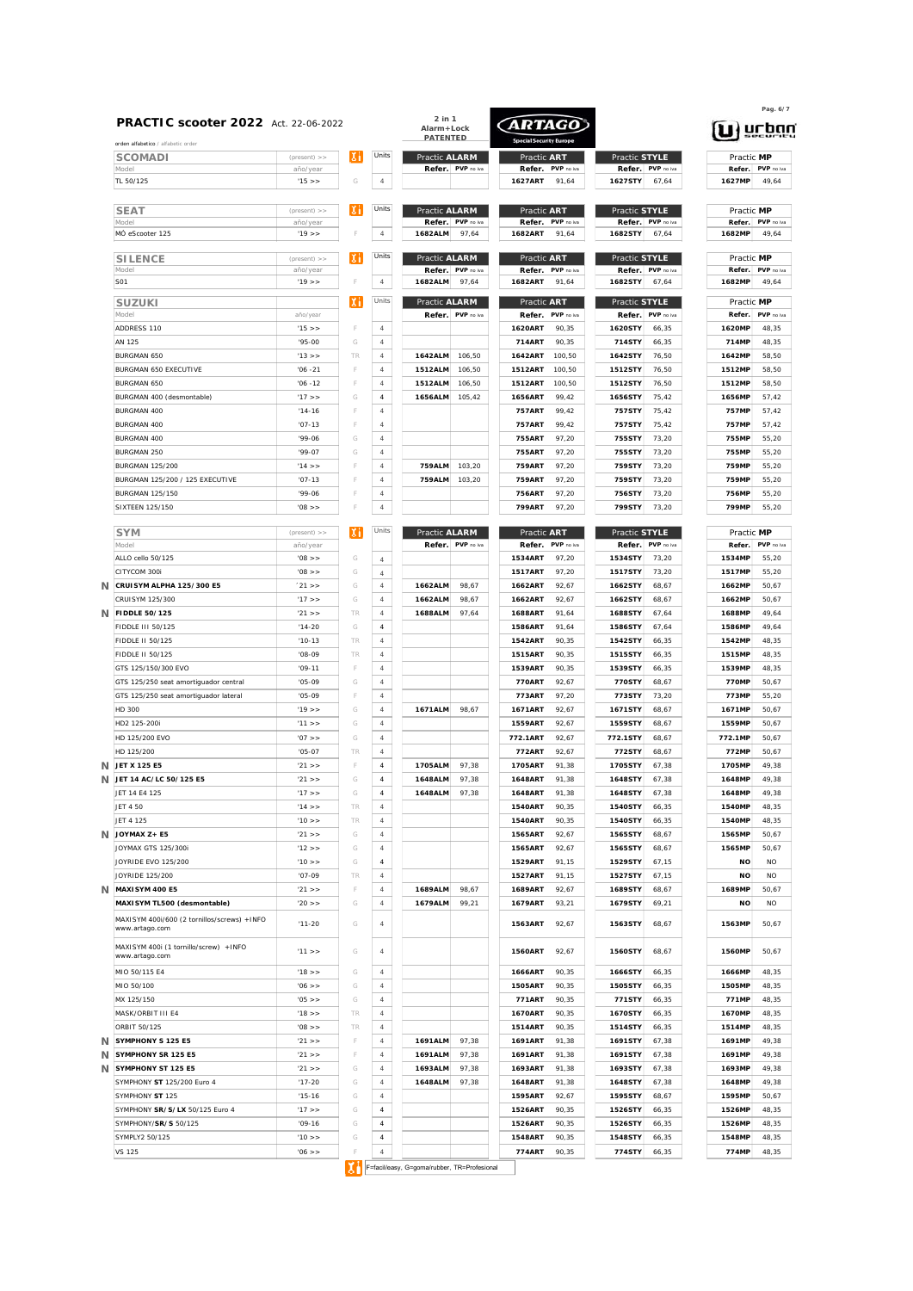| orden alfabetico / alfabetic order                            |                            |     |                |                         |                     |                          | <b>Special Security Europe</b> |                   |                            |                  |                            |
|---------------------------------------------------------------|----------------------------|-----|----------------|-------------------------|---------------------|--------------------------|--------------------------------|-------------------|----------------------------|------------------|----------------------------|
| SCOMADI                                                       | $(present)$ >>             | Хi  | Units          | Practic ALARM           |                     | Practic ART              |                                | Practic STYLE     |                            | Practic MP       |                            |
| Model<br>TL 50/125                                            | año/year<br>'15 >          | G   | $\overline{4}$ |                         | Refer. PVP no iva   | Refer.<br><b>1627ART</b> | PVP no iva<br>91.64            | 1627STY           | Refer. PVP no iva<br>67,64 | 1627MP           | Refer. PVP no iva<br>49.64 |
|                                                               |                            | ıхı | Units          |                         |                     |                          |                                |                   |                            | Practic MP       |                            |
| <b>SEAT</b><br>Model                                          | $(present)$ >><br>año/year |     |                | Practic ALARM<br>Refer. | PVP no iva          | Practic ART<br>Refer.    | PVP no iva                     | Practic STYLE     | Refer. PVP no iva          | Refer.           | PVP no iva                 |
| MÓ eScooter 125                                               | '19 >                      | F   | $\overline{4}$ | 1682ALM                 | 97,64               | 1682ART                  | 91,64                          | 1682STY           | 67,64                      | 1682MP           | 49,64                      |
| <b>SILENCE</b>                                                | (present)                  | ΙXΙ | Units          | Practic ALARM           |                     | Practic ART              |                                | Practic STYLE     |                            | Practic MP       |                            |
| Model<br>S01                                                  | año/year<br>'19 >          | F   | $\overline{4}$ | Refer.<br>1682ALM       | PVP no iva<br>97,64 | Refer.<br>1682ART        | PVP no iva<br>91,64            | Refer.<br>1682STY | PVP no iva<br>67.64        | Refer.<br>1682MP | PVP no iva<br>49,64        |
|                                                               |                            | ΙXΙ | Units          | Practic ALARM           |                     | Practic ART              |                                | Practic STYLE     |                            | Practic MP       |                            |
| <b>SUZUKI</b><br>Model                                        | año/year                   |     |                |                         | Refer. PVP no iva   | Refer.                   | PVP no iva                     | Refer.            | PVP no iva                 | Refer.           | PVP no iva                 |
| ADDRESS 110                                                   | 15 >                       | F   | $\overline{4}$ |                         |                     | 1620ART                  | 90,35                          | 1620STY           | 66.35                      | 1620MP           | 48,35                      |
| AN 125                                                        | $'95-00$                   | G   | $\overline{4}$ |                         |                     | 714ART                   | 90,35                          | 714STY            | 66.35                      | 714MP            | 48,35                      |
| BURGMAN 650                                                   | 13 >                       | TR  | $\overline{4}$ | 1642ALM                 | 106.50              | 1642ART                  | 100,50                         | 1642STY           | 76.50                      | 1642MP           | 58,50                      |
| BURGMAN 650 EXECUTIVE                                         | $'06 - 21$                 | F   | $\overline{4}$ | 1512ALM                 | 106,50              | <b>1512ART</b>           | 100,50                         | 1512STY           | 76.50                      | 1512MP           | 58,50                      |
| BURGMAN 650                                                   | $'06 - 12$                 | F   | $\overline{4}$ | 1512ALM                 | 106,50              | 1512ART                  | 100,50                         | 1512STY           | 76,50                      | 1512MP           | 58,50                      |
| BURGMAN 400 (desmontable)                                     | 17 >                       | G   | $\overline{4}$ | 1656ALM                 | 105,42              | 1656ART                  | 99,42                          | 1656STY           | 75,42                      | 1656MP           | 57,42                      |
| <b>BURGMAN 400</b>                                            | $'14-16$                   | F   | $\overline{4}$ |                         |                     | <b>757ART</b>            | 99,42                          | 757STY            | 75,42                      | 757MP            | 57,42                      |
| <b>BURGMAN 400</b>                                            | $'07-13$                   | F   | $\overline{4}$ |                         |                     | <b>757ART</b>            | 99,42                          | 757STY            | 75,42                      | 757MP            | 57,42                      |
| <b>BURGMAN 400</b>                                            | $'99-06$                   | G   | $\overline{4}$ |                         |                     | <b>755ART</b>            | 97,20                          | 755STY            | 73.20                      | 755MP            | 55,20                      |
| <b>BURGMAN 250</b>                                            | $'99-07$                   | G   | $\overline{4}$ |                         |                     | <b>755ART</b>            | 97,20                          | 755STY            | 73,20                      | 755MP            | 55,20                      |
| <b>BURGMAN 125/200</b>                                        | '14 >                      | F   | $\overline{4}$ | <b>759ALM</b>           | 103,20              | <b>759ART</b>            | 97,20                          | 759STY            | 73,20                      | 759MP            | 55,20                      |
| BURGMAN 125/200 / 125 EXECUTIVE                               | $'07 - 13$                 | F   | $\overline{4}$ | <b>759ALM</b>           | 103,20              | <b>759ART</b>            | 97,20                          | 759STY            | 73,20                      | 759MP            | 55,20                      |
| <b>BURGMAN 125/150</b>                                        | $'99-06$                   | F   | $\overline{4}$ |                         |                     | <b>756ART</b>            | 97,20                          | 756STY            | 73.20                      | 756MP            | 55.20                      |
| <b>SIXTEEN 125/150</b>                                        | < 80'                      | F   | $\overline{4}$ |                         |                     | <b>799ART</b>            | 97,20                          | 799STY            | 73,20                      | 799MP            | 55,20                      |
| <b>SYM</b>                                                    | $(present)$ >>             | IХN | Units          | Practic ALARM           |                     | Practic ART              |                                | Practic STYLE     |                            | Practic MP       |                            |
| Model                                                         | año/year                   |     |                |                         | Refer. PVP no iva   | Refer.                   | PVP no iva                     | Refer.            | PVP no iva                 | Refer.           | PVP no iva                 |
| ALLO cello 50/125                                             | '08 >                      | G   | $\overline{4}$ |                         |                     | <b>1534ART</b>           | 97.20                          | 1534STY           | 73.20                      | 1534MP           | 55.20                      |
| CITYCOM 300i                                                  | '08 >                      | G   | $\it 4$        |                         |                     | <b>1517ART</b>           | 97.20                          | 1517STY           | 73.20                      | 1517MP           | 55.20                      |
| CRUISYM ALPHA 125/300 E5                                      | 21 >                       | G   | $\overline{4}$ | 1662ALM                 | 98,67               | 1662ART                  | 92,67                          | 1662STY           | 68,67                      | 1662MP           | 50,67                      |
| CRUISYM 125/300                                               | '17 >                      | G   | $\overline{4}$ | 1662ALM                 | 98.67               | 1662ART                  | 92.67                          | 1662STY           | 68.67                      | 1662MP           | 50.67                      |
| N FIDDLE 50/125                                               | '21 >                      | TR  | $\overline{4}$ | 1688ALM                 | 97,64               | <b>1688ART</b>           | 91.64                          | 1688STY           | 67.64                      | 1688MP           | 49.64                      |
| <b>FIDDLE III 50/125</b>                                      | $14-20$                    | G   | $\overline{4}$ |                         |                     | 1586ART                  | 91.64                          | 1586STY           | 67.64                      | 1586MP           | 49,64                      |
| FIDDLE II 50/125                                              | $'10-13$                   | TR  | $\overline{4}$ |                         |                     | 1542ART                  | 90.35                          | 1542STY           | 66,35                      | 1542MP           | 48.35                      |
| FIDDLE II 50/125                                              | $'08-09$                   | TR  | $\overline{4}$ |                         |                     | <b>1515ART</b>           | 90.35                          | 1515STY           | 66,35                      | 1515MP           | 48.35                      |
| GTS 125/150/300 EVO                                           | $'09-11$                   | F   | $\overline{4}$ |                         |                     | <b>1539ART</b>           | 90.35                          | 1539STY           | 66,35                      | 1539MP           | 48.35                      |
| GTS 125/250 seat amortiguador central                         | $'05-09$                   | G   | $\overline{4}$ |                         |                     | <b>770ART</b>            | 92.67                          | 770STY            | 68.67                      | <b>770MP</b>     | 50.67                      |
| GTS 125/250 seat amortiguador lateral                         | $'05-09$                   | F   | $\overline{4}$ |                         |                     | 773ART                   | 97.20                          | 773STY            | 73.20                      | 773MP            | 55.20                      |
| HD 300                                                        | '19 >                      | G   | $\overline{4}$ | 1671ALM                 | 98,67               | <b>1671ART</b>           | 92,67                          | 1671STY           | 68,67                      | 1671MP           | 50,67                      |
| HD2 125-200i                                                  | 11 >                       | G   | $\overline{4}$ |                         |                     | <b>1559ART</b>           | 92.67                          | 1559STY           | 68,67                      | 1559MP           | 50.67                      |
| HD 125/200 EVO                                                | $'07$ >>                   | G   | $\overline{4}$ |                         |                     | 772.1ART                 | 92.67                          | 772.1STY          | 68.67                      | 772.1MP          | 50.67                      |
| HD 125/200                                                    | $'05-07$                   | TR  | $\overline{4}$ |                         |                     | 772ART                   | 92.67                          | <b>772STY</b>     | 68.67                      | <b>772MP</b>     | 50.67                      |
| JET X 125 E5                                                  | 21 >                       | F   | $\overline{4}$ | 1705ALM                 | 97,38               | 1705ART                  | 91.38                          | 1705STY           | 67.38                      | 1705MP           | 49.38                      |
| JET 14 AC/LC 50/125 E5                                        | 21 >                       | G   | $\sqrt{4}$     | 1648ALM                 | 97.38               | <b>1648ART</b>           | 91.38                          | 1648STY           | 67,38                      | 1648MP           | 49.38                      |
| JET 14 E4 125                                                 | 17 >>                      | G   | 4              | 1648ALM                 | 97,38               | 1648ART                  | 91,38                          | 1648STY           | 67,38                      | 1648MP           | 49,38                      |
| JET 4 50                                                      | '14 > >                    | TR  | $\overline{4}$ |                         |                     | 1540ART                  | 90.35                          | 1540STY           | 66,35                      | 1540MP           | 48.35                      |
| JET 4 125                                                     | '10 >                      | TR  | $\overline{4}$ |                         |                     | 1540ART                  | 90,35                          | 1540STY           | 66,35                      | 1540MP           | 48,35                      |
| N JOYMAX Z+ E5                                                | 21 >                       | G   | $\overline{4}$ |                         |                     | 1565ART                  | 92,67                          | 1565STY           | 68,67                      | 1565MP           | 50,67                      |
| JOYMAX GTS 125/300i                                           | '12 > >                    | G   | $\overline{4}$ |                         |                     | 1565ART                  | 92,67                          | 1565STY           | 68,67                      | 1565MP           | 50,67                      |
| JOYRIDE EVO 125/200                                           | '10 > >                    | G   | $\overline{4}$ |                         |                     | 1529ART                  | 91,15                          | 1529STY           | 67,15                      | <b>NO</b>        | NO.                        |
| JOYRIDE 125/200                                               | $'07-09$                   | TR  | $\overline{4}$ |                         |                     | 1527ART                  | 91,15                          | 1527STY           | 67,15                      | <b>NO</b>        | NO.                        |
| N MAXISYM 400 E5                                              | 21 >                       | F   | $\overline{4}$ | 1689ALM                 | 98,67               | 1689ART                  | 92,67                          | 1689STY           | 68,67                      | 1689MP           | 50,67                      |
| MAXISYM TL500 (desmontable)                                   | $'20$ >>                   | G   | $\overline{4}$ | 1679ALM                 | 99,21               | 1679ART                  | 93,21                          | 1679STY           | 69,21                      | <b>NO</b>        | <b>NO</b>                  |
| MAXISYM 400i/600 (2 tornillos/screws) +INFO<br>www.artago.com | $'11 - 20$                 | G   | 4              |                         |                     | 1563ART                  | 92,67                          | 1563STY           | 68,67                      | 1563MP           | 50,67                      |
| MAXISYM 400i (1 tornillo/screw) +INFO<br>www.artago.com       | 11 >                       | G   | 4              |                         |                     | 1560ART                  | 92,67                          | 1560STY           | 68.67                      | 1560MP           | 50.67                      |
| MIO 50/115 E4                                                 | '18 >                      | G   | $\overline{4}$ |                         |                     | 1666ART                  | 90.35                          | 1666STY           | 66,35                      | 1666MP           | 48.35                      |
| MIO 50/100                                                    | $'06$ >>                   | G   | $\overline{4}$ |                         |                     | 1505ART                  | 90,35                          | 1505STY           | 66,35                      | 1505MP           | 48,35                      |
| MX 125/150                                                    | '05 >                      | G   | $\overline{4}$ |                         |                     | 771ART                   | 90,35                          | 771STY            | 66,35                      | 771MP            | 48,35                      |
| MASK/ORBIT III E4                                             | '18 >                      | TR  | $\overline{4}$ |                         |                     | 1670ART                  | 90,35                          | 1670STY           | 66,35                      | 1670MP           | 48,35                      |
| ORBIT 50/125                                                  | < 80'                      | TR  | $\overline{4}$ |                         |                     | 1514ART                  | 90,35                          | 1514STY           | 66,35                      | 1514MP           | 48,35                      |
| N SYMPHONY S 125 E5                                           | 21 >                       | F   | $\overline{4}$ | 1691ALM                 | 97,38               | 1691ART                  | 91,38                          | 1691STY           | 67,38                      | 1691MP           | 49,38                      |
| N SYMPHONY SR 125 E5                                          | '21 > >                    | F   | $\overline{4}$ | 1691ALM                 | 97,38               | 1691ART                  | 91,38                          | 1691STY           | 67,38                      | 1691MP           | 49,38                      |
| N SYMPHONY ST 125 E5                                          | '21 > >                    | G   | $\overline{4}$ | 1693ALM                 | 97,38               | 1693ART                  | 91,38                          | 1693STY           | 67,38                      | 1693MP           | 49,38                      |
| SYMPHONY ST 125/200 Euro 4                                    | $'17-20$                   | G   | $\overline{4}$ | 1648ALM                 | 97,38               | 1648ART                  | 91,38                          | 1648STY           | 67,38                      | 1648MP           | 49,38                      |
| SYMPHONY ST 125                                               | $'15-16$                   | G   | $\overline{4}$ |                         |                     | 1595ART                  | 92,67                          | 1595STY           | 68,67                      | 1595MP           | 50,67                      |
| SYMPHONY SR/S/LX 50/125 Euro 4                                | '17 > >                    | G   | $\overline{4}$ |                         |                     | 1526ART                  | 90,35                          | 1526STY           | 66,35                      | 1526MP           | 48,35                      |
| SYMPHONY/SR/S 50/125                                          | $'09-16$                   | G   | $\overline{4}$ |                         |                     | 1526ART                  | 90,35                          | 1526STY           | 66,35                      | 1526MP           | 48,35                      |
|                                                               | '10 > >                    | G   | $\overline{4}$ |                         |                     | 1548ART                  | 90,35                          | 1548STY           | 66,35                      | 1548MP           | 48,35                      |
| SYMPLY2 50/125                                                |                            |     |                |                         |                     |                          |                                |                   |                            |                  |                            |